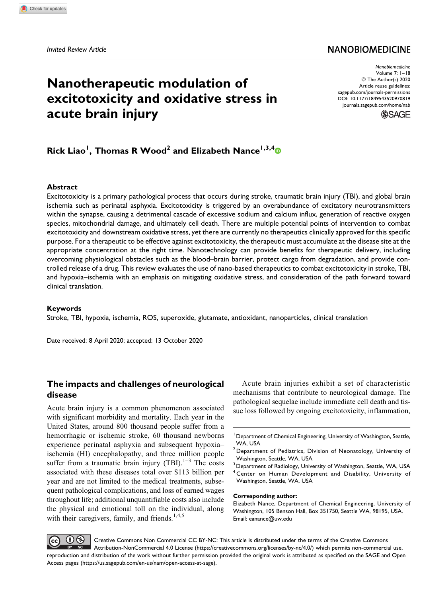### **NANOBIOMEDICINE**

# **Nanotherapeutic modulation of excitotoxicity and oxidative stress in acute brain injury**

*Nanobiomedicine* Volume 7: 1–18 © The Author(s) 2020 Article reuse guidelines: [sagepub.com/journals-permissions](https://sagepub.com/journals-permissions) [DOI: 10.1177/1849543520970819](https://doi.org/10.1177/1849543520970819) [journals.sagepub.com/home/nab](http://journals.sagepub.com/home/nab)



## **Rick Liao<sup>1</sup> , Thomas R Wood<sup>2</sup> and Elizabeth Nance1,3,[4](https://orcid.org/0000-0001-7167-7068)**

#### **Abstract**

Excitotoxicity is a primary pathological process that occurs during stroke, traumatic brain injury (TBI), and global brain ischemia such as perinatal asphyxia. Excitotoxicity is triggered by an overabundance of excitatory neurotransmitters within the synapse, causing a detrimental cascade of excessive sodium and calcium influx, generation of reactive oxygen species, mitochondrial damage, and ultimately cell death. There are multiple potential points of intervention to combat excitotoxicity and downstream oxidative stress, yet there are currently no therapeutics clinically approved for this specific purpose. For a therapeutic to be effective against excitotoxicity, the therapeutic must accumulate at the disease site at the appropriate concentration at the right time. Nanotechnology can provide benefits for therapeutic delivery, including overcoming physiological obstacles such as the blood–brain barrier, protect cargo from degradation, and provide controlled release of a drug. This review evaluates the use of nano-based therapeutics to combat excitotoxicity in stroke, TBI, and hypoxia–ischemia with an emphasis on mitigating oxidative stress, and consideration of the path forward toward clinical translation.

#### **Keywords**

Stroke, TBI, hypoxia, ischemia, ROS, superoxide, glutamate, antioxidant, nanoparticles, clinical translation

Date received: 8 April 2020; accepted: 13 October 2020

#### **The impacts and challenges of neurological disease**

Acute brain injury is a common phenomenon associated with significant morbidity and mortality. Each year in the United States, around 800 thousand people suffer from a hemorrhagic or ischemic stroke, 60 thousand newborns experience perinatal asphyxia and subsequent hypoxia– ischemia (HI) encephalopathy, and three million people suffer from a traumatic brain injury (TBI).<sup>1–3</sup> The costs associated with these diseases total over \$113 billion per year and are not limited to the medical treatments, subsequent pathological complications, and loss of earned wages throughout life; additional unquantifiable costs also include the physical and emotional toll on the individual, along with their caregivers, family, and friends.<sup>1,4,5</sup>

Acute brain injuries exhibit a set of characteristic mechanisms that contribute to neurological damage. The pathological sequelae include immediate cell death and tissue loss followed by ongoing excitotoxicity, inflammation,

#### **Corresponding author:**

Elizabeth Nance, Department of Chemical Engineering, University of Washington, 105 Benson Hall, Box 351750, Seattle WA, 98195, USA. Email: [eanance@uw.edu](mailto:eanance@uw.edu)

 $\left( \mathbf{r} \right)$ Creative Commons Non Commercial CC BY-NC: This article is distributed under the terms of the Creative Commons  $\blacksquare$  Attribution-NonCommercial 4.0 License ([https://creativecommons.org/licenses/by-nc/4.0/\)](https://creativecommons.org/licenses/by-nc/4.0/) which permits non-commercial use, reproduction and distribution of the work without further permission provided the original work is attributed as specified on the SAGE and Open Access pages (<https://us.sagepub.com/en-us/nam/open-access-at-sage>).

<sup>&</sup>lt;sup>1</sup> Department of Chemical Engineering, University of Washington, Seattle, WA, USA

<sup>2</sup>Department of Pediatrics, Division of Neonatology, University of Washington, Seattle, WA, USA

<sup>&</sup>lt;sup>3</sup> Department of Radiology, University of Washington, Seattle, WA, USA <sup>4</sup> Center on Human Development and Disability, University of Washington, Seattle, WA, USA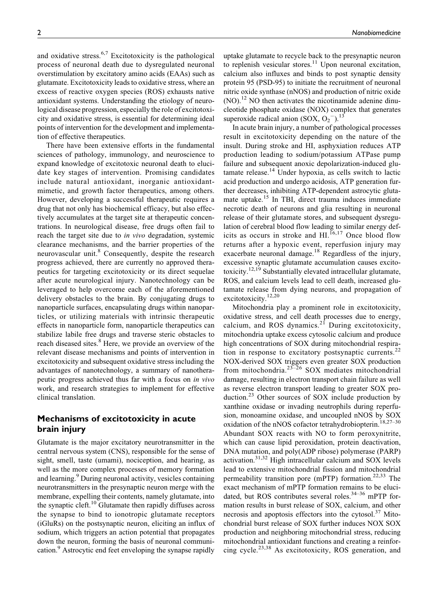and oxidative stress. $6,7$  Excitotoxicity is the pathological process of neuronal death due to dysregulated neuronal overstimulation by excitatory amino acids (EAAs) such as glutamate. Excitotoxicity leads to oxidative stress, where an excess of reactive oxygen species (ROS) exhausts native antioxidant systems. Understanding the etiology of neurological disease progression, especially the role of excitotoxicity and oxidative stress, is essential for determining ideal points of intervention for the development and implementation of effective therapeutics.

There have been extensive efforts in the fundamental sciences of pathology, immunology, and neuroscience to expand knowledge of excitotoxic neuronal death to elucidate key stages of intervention. Promising candidates include natural antioxidant, inorganic antioxidantmimetic, and growth factor therapeutics, among others. However, developing a successful therapeutic requires a drug that not only has biochemical efficacy, but also effectively accumulates at the target site at therapeutic concentrations. In neurological disease, free drugs often fail to reach the target site due to *in vivo* degradation, systemic clearance mechanisms, and the barrier properties of the neurovascular unit.<sup>8</sup> Consequently, despite the research progress achieved, there are currently no approved therapeutics for targeting excitotoxicity or its direct sequelae after acute neurological injury. Nanotechnology can be leveraged to help overcome each of the aforementioned delivery obstacles to the brain. By conjugating drugs to nanoparticle surfaces, encapsulating drugs within nanoparticles, or utilizing materials with intrinsic therapeutic effects in nanoparticle form, nanoparticle therapeutics can stabilize labile free drugs and traverse steric obstacles to reach diseased sites.<sup>8</sup> Here, we provide an overview of the relevant disease mechanisms and points of intervention in excitotoxicity and subsequent oxidative stress including the advantages of nanotechnology, a summary of nanotherapeutic progress achieved thus far with a focus on in vivo work, and research strategies to implement for effective clinical translation.

### **Mechanisms of excitotoxicity in acute brain injury**

Glutamate is the major excitatory neurotransmitter in the central nervous system (CNS), responsible for the sense of sight, smell, taste (umami), nociception, and hearing, as well as the more complex processes of memory formation and learning.<sup>9</sup> During neuronal activity, vesicles containing neurotransmitters in the presynaptic neuron merge with the membrane, expelling their contents, namely glutamate, into the synaptic cleft. $10$  Glutamate then rapidly diffuses across the synapse to bind to ionotropic glutamate receptors (iGluRs) on the postsynaptic neuron, eliciting an influx of sodium, which triggers an action potential that propagates down the neuron, forming the basis of neuronal communication.<sup>9</sup> Astrocytic end feet enveloping the synapse rapidly

uptake glutamate to recycle back to the presynaptic neuron to replenish vesicular stores. $11$  Upon neuronal excitation, calcium also influxes and binds to post synaptic density protein 95 (PSD-95) to initiate the recruitment of neuronal nitric oxide synthase (nNOS) and production of nitric oxide  $(NO)$ .<sup>12</sup> NO then activates the nicotinamide adenine dinucleotide phosphate oxidase (NOX) complex that generates superoxide radical anion (SOX,  $O_2$ <sup>-</sup>).<sup>13</sup>

In acute brain injury, a number of pathological processes result in excitotoxicity depending on the nature of the insult. During stroke and HI, asphyxiation reduces ATP production leading to sodium/potassium ATPase pump failure and subsequent anoxic depolarization-induced glu $t$ amate release.<sup>14</sup> Under hypoxia, as cells switch to lactic acid production and undergo acidosis, ATP generation further decreases, inhibiting ATP-dependent astrocytic glutamate uptake.<sup>15</sup> In TBI, direct trauma induces immediate necrotic death of neurons and glia resulting in neuronal release of their glutamate stores, and subsequent dysregulation of cerebral blood flow leading to similar energy deficits as occurs in stroke and  $\overline{H}$ .<sup>16,17</sup> Once blood flow returns after a hypoxic event, reperfusion injury may exacerbate neuronal damage.<sup>18</sup> Regardless of the injury, excessive synaptic glutamate accumulation causes excitotoxicity.<sup>12,19</sup> Substantially elevated intracellular glutamate, ROS, and calcium levels lead to cell death, increased glutamate release from dying neurons, and propagation of excitotoxicity.12,20

Mitochondria play a prominent role in excitotoxicity, oxidative stress, and cell death processes due to energy, calcium, and ROS dynamics. $21$  During excitotoxicity, mitochondria uptake excess cytosolic calcium and produce high concentrations of SOX during mitochondrial respiration in response to excitatory postsynaptic currents.<sup>22</sup> NOX-derived SOX triggers even greater SOX production from mitochondria.23–26 SOX mediates mitochondrial damage, resulting in electron transport chain failure as well as reverse electron transport leading to greater SOX production.<sup>23</sup> Other sources of SOX include production by xanthine oxidase or invading neutrophils during reperfusion, monoamine oxidase, and uncoupled nNOS by SOX oxidation of the nNOS cofactor tetrahydrobiopterin.<sup>18,27–30</sup> Abundant SOX reacts with NO to form peroxynitrite, which can cause lipid peroxidation, protein deactivation, DNA mutation, and poly(ADP ribose) polymerase (PARP) activation.31,32 High intracellular calcium and SOX levels lead to extensive mitochondrial fission and mitochondrial permeability transition pore (mPTP) formation.<sup>22,33</sup> The exact mechanism of mPTP formation remains to be elucidated, but ROS contributes several roles.<sup>34-36</sup> mPTP formation results in burst release of SOX, calcium, and other necrosis and apoptosis effectors into the cytosol. $37$  Mitochondrial burst release of SOX further induces NOX SOX production and neighboring mitochondrial stress, reducing mitochondrial antioxidant functions and creating a reinforcing cycle.23,38 As excitotoxicity, ROS generation, and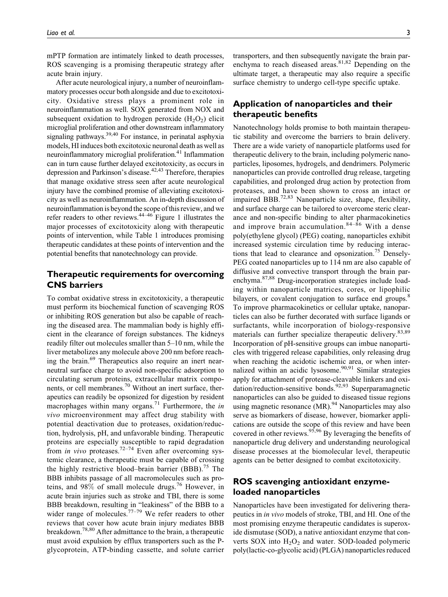mPTP formation are intimately linked to death processes, ROS scavenging is a promising therapeutic strategy after acute brain injury.

After acute neurological injury, a number of neuroinflammatory processes occur both alongside and due to excitotoxicity. Oxidative stress plays a prominent role in neuroinflammation as well. SOX generated from NOX and subsequent oxidation to hydrogen peroxide  $(H_2O_2)$  elicit microglial proliferation and other downstream inflammatory signaling pathways.<sup>39,40</sup> For instance, in perinatal asphyxia models, HI induces both excitotoxic neuronal death as well as neuroinflammatory microglial proliferation.<sup>41</sup> Inflammation can in turn cause further delayed excitotoxicity, as occurs in depression and Parkinson's disease.<sup>42,43</sup> Therefore, therapies that manage oxidative stress seen after acute neurological injury have the combined promise of alleviating excitotoxicity as well as neuroinflammation. An in-depth discussion of neuroinflammation is beyond the scope of this review, and we refer readers to other reviews.44–46 Figure 1 illustrates the major processes of excitotoxicity along with therapeutic points of intervention, while Table 1 introduces promising therapeutic candidates at these points of intervention and the potential benefits that nanotechnology can provide.

### **Therapeutic requirements for overcoming CNS barriers**

To combat oxidative stress in excitotoxicity, a therapeutic must perform its biochemical function of scavenging ROS or inhibiting ROS generation but also be capable of reaching the diseased area. The mammalian body is highly efficient in the clearance of foreign substances. The kidneys readily filter out molecules smaller than 5–10 nm, while the liver metabolizes any molecule above 200 nm before reaching the brain.<sup>69</sup> Therapeutics also require an inert nearneutral surface charge to avoid non-specific adsorption to circulating serum proteins, extracellular matrix components, or cell membranes.<sup>70</sup> Without an inert surface, therapeutics can readily be opsonized for digestion by resident macrophages within many organs.<sup>71</sup> Furthermore, the in vivo microenvironment may affect drug stability with potential deactivation due to proteases, oxidation/reduction, hydrolysis, pH, and unfavorable binding. Therapeutic proteins are especially susceptible to rapid degradation from *in vivo* proteases.<sup>72–74</sup> Even after overcoming systemic clearance, a therapeutic must be capable of crossing the highly restrictive blood–brain barrier (BBB).<sup>75</sup> The BBB inhibits passage of all macromolecules such as proteins, and 98% of small molecule drugs.<sup>76</sup> However, in acute brain injuries such as stroke and TBI, there is some BBB breakdown, resulting in "leakiness" of the BBB to a wider range of molecules.<sup>77–79</sup> We refer readers to other reviews that cover how acute brain injury mediates BBB breakdown.<sup>78,80</sup> After admittance to the brain, a therapeutic must avoid expulsion by efflux transporters such as the Pglycoprotein, ATP-binding cassette, and solute carrier transporters, and then subsequently navigate the brain parenchyma to reach diseased areas.<sup>81,82</sup> Depending on the ultimate target, a therapeutic may also require a specific surface chemistry to undergo cell-type specific uptake.

#### **Application of nanoparticles and their therapeutic benefits**

Nanotechnology holds promise to both maintain therapeutic stability and overcome the barriers to brain delivery. There are a wide variety of nanoparticle platforms used for therapeutic delivery to the brain, including polymeric nanoparticles, liposomes, hydrogels, and dendrimers. Polymeric nanoparticles can provide controlled drug release, targeting capabilities, and prolonged drug action by protection from proteases, and have been shown to cross an intact or impaired BBB.<sup>72,83</sup> Nanoparticle size, shape, flexibility, and surface charge can be tailored to overcome steric clearance and non-specific binding to alter pharmacokinetics and improve brain accumulation.<sup>84–86</sup> With a dense poly(ethylene glycol) (PEG) coating, nanoparticles exhibit increased systemic circulation time by reducing interactions that lead to clearance and opsonization.<sup>75</sup> Densely-PEG coated nanoparticles up to 114 nm are also capable of diffusive and convective transport through the brain parenchyma.87,88 Drug-incorporation strategies include loading within nanoparticle matrices, cores, or lipophilic bilayers, or covalent conjugation to surface end groups.<sup>8</sup> To improve pharmacokinetics or cellular uptake, nanoparticles can also be further decorated with surface ligands or surfactants, while incorporation of biology-responsive materials can further specialize therapeutic delivery.<sup>83,89</sup> Incorporation of pH-sensitive groups can imbue nanoparticles with triggered release capabilities, only releasing drug when reaching the acidotic ischemic area, or when internalized within an acidic lysosome.<sup>90,91</sup> Similar strategies apply for attachment of protease-cleavable linkers and oxidation/reduction-sensitive bonds.<sup>92,93</sup> Superparamagnetic nanoparticles can also be guided to diseased tissue regions using magnetic resonance (MR).<sup>94</sup> Nanoparticles may also serve as biomarkers of disease, however, biomarker applications are outside the scope of this review and have been covered in other reviews.<sup>95,96</sup> By leveraging the benefits of nanoparticle drug delivery and understanding neurological disease processes at the biomolecular level, therapeutic agents can be better designed to combat excitotoxicity.

### **ROS scavenging antioxidant enzymeloaded nanoparticles**

Nanoparticles have been investigated for delivering therapeutics in in vivo models of stroke, TBI, and HI. One of the most promising enzyme therapeutic candidates is superoxide dismutase (SOD), a native antioxidant enzyme that converts SOX into  $H_2O_2$  and water. SOD-loaded polymeric poly(lactic-co-glycolic acid) (PLGA) nanoparticles reduced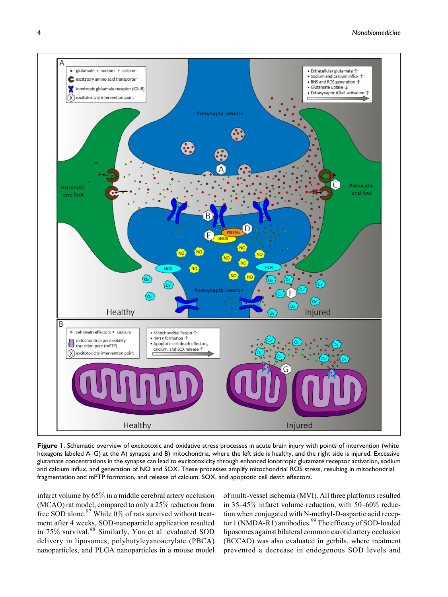

Figure 1. Schematic overview of excitotoxic and oxidative stress processes in acute brain injury with points of intervention (white hexagons labeled A–G) at the A) synapse and B) mitochondria, where the left side is healthy, and the right side is injured. Excessive glutamate concentrations in the synapse can lead to excitotoxicity through enhanced ionotropic glutamate receptor activation, sodium and calcium influx, and generation of NO and SOX. These processes amplify mitochondrial ROS stress, resulting in mitochondrial fragmentation and mPTP formation, and release of calcium, SOX, and apoptotic cell death effectors.

infarct volume by 65% in a middle cerebral artery occlusion (MCAO) rat model, compared to only a 25% reduction from free SOD alone.<sup>97</sup> While 0% of rats survived without treatment after 4 weeks, SOD-nanoparticle application resulted in 75% survival.<sup>98</sup> Similarly, Yun et al. evaluated SOD delivery in liposomes, polybutylcyanoacrylate (PBCA) nanoparticles, and PLGA nanoparticles in a mouse model

of multi-vessel ischemia (MVI). All three platforms resulted in 35–45% infarct volume reduction, with 50–60% reduction when conjugated with N-methyl-D-aspartic acid receptor 1 (NMDA-R1) antibodies.<sup>99</sup> The efficacy of SOD-loaded liposomes against bilateral common carotid artery occlusion (BCCAO) was also evaluated in gerbils, where treatment prevented a decrease in endogenous SOD levels and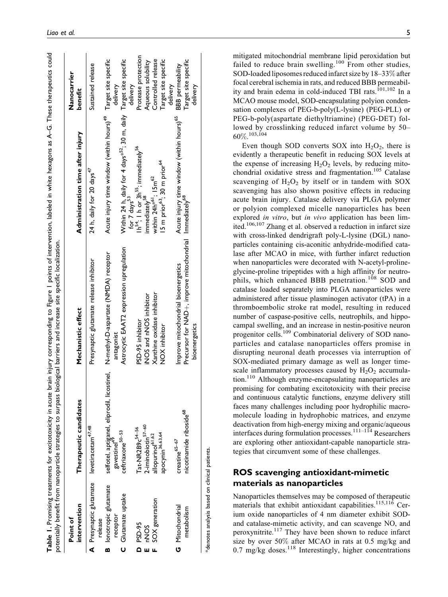| Acute injury time window (within hours) <sup>49</sup> Target site specific<br>Within 24 h, daily for 4 days* <sup>52</sup> ; 30 m, daily Target site specific<br>benefit<br>Acute injury time window (within hours) <sup>65</sup><br>Administration time after injury<br>$1h^{54}$ ; I h or 3h $^{55}$ ; immediately $^{56}$<br>15 m prior <sup>63</sup> ; 30 m prior <sup>64</sup><br>24 h, daily for 20 days <sup>47</sup><br>within 24h* <sup>61</sup> ; 15m <sup>62</sup><br>immediately <sup>58</sup><br>for 7 days <sup>35</sup><br>Precursor for NAD+, improve mitochondrial Immediately <sup>68</sup><br>Astrocytic EAAT2 expression upregulation<br>selfotel, aptiganel, eliprodil, licostinel,    N-methyl-D-aspartate (NMDA) receptor<br>gavestinel <sup>49</sup><br>Presynaptic glutamate release inhibitor<br>Improve mitochondrial bioenergetics<br>Xanthine oxidase inhibitor<br>iNOS and nNOS inhibitor<br>Mechanistic effect<br>PSD-95 inhibitor<br>bioenergetics<br>NOX inhibitor<br>Therapeutic candidates<br>nicotinamide riboside <sup>68</sup><br>2-iminobiotin <sup>57-60</sup><br>levetiracetam <sup>47,48</sup><br>Tat-NR2B9c <sup>54-56</sup><br>ceftriaxone <sup>50-53</sup><br>apocynin <sup>36,63,64</sup><br>allopurinol <sup>61,62</sup><br>$\rm{c}$ eatine $\rm ^{65-67}$<br>A Presynaptic glutamate<br><b>B</b> lonotropic glutamate<br>C Glutamate uptake<br>SOX generation<br>intervention<br>G Mitochondrial<br>metabolism<br>receptor<br>release<br>PSD-95<br><b>NOS</b><br>۵ | Point of |  | Nanocarrier          |
|--------------------------------------------------------------------------------------------------------------------------------------------------------------------------------------------------------------------------------------------------------------------------------------------------------------------------------------------------------------------------------------------------------------------------------------------------------------------------------------------------------------------------------------------------------------------------------------------------------------------------------------------------------------------------------------------------------------------------------------------------------------------------------------------------------------------------------------------------------------------------------------------------------------------------------------------------------------------------------------------------------------------------------------------------------------------------------------------------------------------------------------------------------------------------------------------------------------------------------------------------------------------------------------------------------------------------------------------------------------------------------------------------------------------------------------------------------------------------------------------------------------------|----------|--|----------------------|
|                                                                                                                                                                                                                                                                                                                                                                                                                                                                                                                                                                                                                                                                                                                                                                                                                                                                                                                                                                                                                                                                                                                                                                                                                                                                                                                                                                                                                                                                                                                    |          |  |                      |
|                                                                                                                                                                                                                                                                                                                                                                                                                                                                                                                                                                                                                                                                                                                                                                                                                                                                                                                                                                                                                                                                                                                                                                                                                                                                                                                                                                                                                                                                                                                    |          |  | Sustained release    |
|                                                                                                                                                                                                                                                                                                                                                                                                                                                                                                                                                                                                                                                                                                                                                                                                                                                                                                                                                                                                                                                                                                                                                                                                                                                                                                                                                                                                                                                                                                                    |          |  |                      |
|                                                                                                                                                                                                                                                                                                                                                                                                                                                                                                                                                                                                                                                                                                                                                                                                                                                                                                                                                                                                                                                                                                                                                                                                                                                                                                                                                                                                                                                                                                                    |          |  | delivery             |
|                                                                                                                                                                                                                                                                                                                                                                                                                                                                                                                                                                                                                                                                                                                                                                                                                                                                                                                                                                                                                                                                                                                                                                                                                                                                                                                                                                                                                                                                                                                    |          |  | delivery             |
|                                                                                                                                                                                                                                                                                                                                                                                                                                                                                                                                                                                                                                                                                                                                                                                                                                                                                                                                                                                                                                                                                                                                                                                                                                                                                                                                                                                                                                                                                                                    |          |  | Protease protection  |
|                                                                                                                                                                                                                                                                                                                                                                                                                                                                                                                                                                                                                                                                                                                                                                                                                                                                                                                                                                                                                                                                                                                                                                                                                                                                                                                                                                                                                                                                                                                    |          |  | Aqueous solubility   |
|                                                                                                                                                                                                                                                                                                                                                                                                                                                                                                                                                                                                                                                                                                                                                                                                                                                                                                                                                                                                                                                                                                                                                                                                                                                                                                                                                                                                                                                                                                                    |          |  | Controlled release   |
|                                                                                                                                                                                                                                                                                                                                                                                                                                                                                                                                                                                                                                                                                                                                                                                                                                                                                                                                                                                                                                                                                                                                                                                                                                                                                                                                                                                                                                                                                                                    |          |  | Target site specific |
|                                                                                                                                                                                                                                                                                                                                                                                                                                                                                                                                                                                                                                                                                                                                                                                                                                                                                                                                                                                                                                                                                                                                                                                                                                                                                                                                                                                                                                                                                                                    |          |  | delivery             |
|                                                                                                                                                                                                                                                                                                                                                                                                                                                                                                                                                                                                                                                                                                                                                                                                                                                                                                                                                                                                                                                                                                                                                                                                                                                                                                                                                                                                                                                                                                                    |          |  | BBB permeability     |
|                                                                                                                                                                                                                                                                                                                                                                                                                                                                                                                                                                                                                                                                                                                                                                                                                                                                                                                                                                                                                                                                                                                                                                                                                                                                                                                                                                                                                                                                                                                    |          |  | Target site specific |
|                                                                                                                                                                                                                                                                                                                                                                                                                                                                                                                                                                                                                                                                                                                                                                                                                                                                                                                                                                                                                                                                                                                                                                                                                                                                                                                                                                                                                                                                                                                    |          |  | delivery             |

mitigated mitochondrial membrane lipid peroxidation but failed to reduce brain swelling.<sup>100</sup> From other studies, SOD-loaded liposomes reduced infarct size by 18–33% after focal cerebral ischemia in rats, and reduced BBB permeability and brain edema in cold-induced TBI rats.<sup>101,102</sup> In a MCAO mouse model, SOD-encapsulating polyion condensation complexes of PEG-b-poly(L-lysine) (PEG-PLL) or PEG-b-poly(aspartate diethyltriamine) (PEG-DET) followed by crosslinking reduced infarct volume by 50– 60%. 103,104

Even though SOD converts SOX into  $H_2O_2$ , there is evidently a therapeutic benefit in reducing SOX levels at the expense of increasing  $H_2O_2$  levels, by reducing mitochondrial oxidative stress and fragmentation.<sup>105</sup> Catalase scavenging of  $H_2O_2$  by itself or in tandem with SOX scavenging has also shown positive effects in reducing acute brain injury. Catalase delivery via PLGA polymer or polyion complexed micelle nanoparticles has been explored in vitro, but in vivo application has been limited.106,107 Zhang et al. observed a reduction in infarct size with cross-linked dendrigraft poly-L-lysine (DGL) nanoparticles containing cis-aconitic anhydride-modified catalase after MCAO in mice, with further infarct reduction when nanoparticles were decorated with N-acetyl-prolineglycine-proline tripeptides with a high affinity for neutrophils, which enhanced BBB penetration.<sup>108</sup> SOD and catalase loaded separately into PLGA nanoparticles were administered after tissue plasminogen activator (tPA) in a thromboembolic stroke rat model, resulting in reduced number of caspase-positive cells, neutrophils, and hippocampal swelling, and an increase in nestin-positive neuron progenitor cells.<sup>109</sup> Combinatorial delivery of SOD nanoparticles and catalase nanoparticles offers promise in disrupting neuronal death processes via interruption of SOX-mediated primary damage as well as longer timescale inflammatory processes caused by  $H_2O_2$  accumulation.110 Although enzyme-encapsulating nanoparticles are promising for combating excitotoxicity with their precise and continuous catalytic functions, enzyme delivery still faces many challenges including poor hydrophilic macromolecule loading in hydrophobic matrices, and enzyme deactivation from high-energy mixing and organic/aqueous interfaces during formulation processes.111–114 Researchers are exploring other antioxidant-capable nanoparticle strategies that circumvent some of these challenges.

### **ROS scavenging antioxidant-mimetic materials as nanoparticles**

Nanoparticles themselves may be composed of therapeutic materials that exhibit antioxidant capabilities.<sup>115,116</sup> Cerium oxide nanoparticles of 4 nm diameter exhibit SODand catalase-mimetic activity, and can scavenge NO, and peroxynitrite.117 They have been shown to reduce infarct size by over 50% after MCAO in rats at 0.5 mg/kg and  $0.7 \text{ mg/kg}$  doses.<sup>118</sup> Interestingly, higher concentrations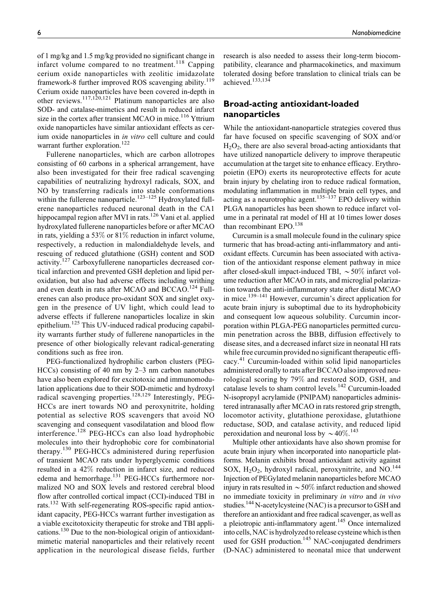of 1 mg/kg and 1.5 mg/kg provided no significant change in infarct volume compared to no treatment.<sup>118</sup> Capping cerium oxide nanoparticles with zeolitic imidazolate framework-8 further improved ROS scavenging ability.<sup>119</sup> Cerium oxide nanoparticles have been covered in-depth in other reviews.117,120,121 Platinum nanoparticles are also SOD- and catalase-mimetics and result in reduced infarct size in the cortex after transient MCAO in mice.<sup>116</sup> Yttrium oxide nanoparticles have similar antioxidant effects as cerium oxide nanoparticles in in vitro cell culture and could warrant further exploration.<sup>122</sup>

Fullerene nanoparticles, which are carbon allotropes consisting of 60 carbons in a spherical arrangement, have also been investigated for their free radical scavenging capabilities of neutralizing hydroxyl radicals, SOX, and NO by transferring radicals into stable conformations within the fullerene nanoparticle.<sup>123–125</sup> Hydroxylated fullerene nanoparticles reduced neuronal death in the CA1 hippocampal region after MVI in rats.<sup>126</sup> Vani et al. applied hydroxylated fullerene nanoparticles before or after MCAO in rats, yielding a 53% or 81% reduction in infarct volume, respectively, a reduction in malondialdehyde levels, and rescuing of reduced glutathione (GSH) content and SOD activity.<sup>127</sup> Carboxyfullerene nanoparticles decreased cortical infarction and prevented GSH depletion and lipid peroxidation, but also had adverse effects including writhing and even death in rats after MCAO and BCCAO.<sup>124</sup> Fullerenes can also produce pro-oxidant SOX and singlet oxygen in the presence of UV light, which could lead to adverse effects if fullerene nanoparticles localize in skin epithelium.<sup>125</sup> This UV-induced radical producing capability warrants further study of fullerene nanoparticles in the presence of other biologically relevant radical-generating conditions such as free iron.

PEG-functionalized hydrophilic carbon clusters (PEG-HCCs) consisting of 40 nm by 2–3 nm carbon nanotubes have also been explored for excitotoxic and immunomodulation applications due to their SOD-mimetic and hydroxyl radical scavenging properties.<sup>128,129</sup> Interestingly, PEG-HCCs are inert towards NO and peroxynitrite, holding potential as selective ROS scavengers that avoid NO scavenging and consequent vasodilatation and blood flow interference.<sup>128</sup> PEG-HCCs can also load hydrophobic molecules into their hydrophobic core for combinatorial therapy.<sup>130</sup> PEG-HCCs administered during reperfusion of transient MCAO rats under hyperglycemic conditions resulted in a 42% reduction in infarct size, and reduced edema and hemorrhage.<sup>131</sup> PEG-HCCs furthermore normalized NO and SOX levels and restored cerebral blood flow after controlled cortical impact (CCI)-induced TBI in rats.<sup>132</sup> With self-regenerating ROS-specific rapid antioxidant capacity, PEG-HCCs warrant further investigation as a viable excitotoxicity therapeutic for stroke and TBI applications.<sup>130</sup> Due to the non-biological origin of antioxidantmimetic material nanoparticles and their relatively recent application in the neurological disease fields, further research is also needed to assess their long-term biocompatibility, clearance and pharmacokinetics, and maximum tolerated dosing before translation to clinical trials can be achieved.133,134

### **Broad-acting antioxidant-loaded nanoparticles**

While the antioxidant-nanoparticle strategies covered thus far have focused on specific scavenging of SOX and/or  $H<sub>2</sub>O<sub>2</sub>$ , there are also several broad-acting antioxidants that have utilized nanoparticle delivery to improve therapeutic accumulation at the target site to enhance efficacy. Erythropoietin (EPO) exerts its neuroprotective effects for acute brain injury by chelating iron to reduce radical formation, modulating inflammation in multiple brain cell types, and acting as a neurotrophic agent.<sup>135–137</sup> EPO delivery within PLGA nanoparticles has been shown to reduce infarct volume in a perinatal rat model of HI at 10 times lower doses than recombinant EPO.<sup>138</sup>

Curcumin is a small molecule found in the culinary spice turmeric that has broad-acting anti-inflammatory and antioxidant effects. Curcumin has been associated with activation of the antioxidant response element pathway in mice after closed-skull impact-induced TBI,  $\sim 50\%$  infarct volume reduction after MCAO in rats, and microglial polarization towards the anti-inflammatory state after distal MCAO in mice.139–141 However, curcumin's direct application for acute brain injury is suboptimal due to its hydrophobicity and consequent low aqueous solubility. Curcumin incorporation within PLGA-PEG nanoparticles permitted curcumin penetration across the BBB, diffusion effectively to disease sites, and a decreased infarct size in neonatal HI rats while free curcumin provided no significant therapeutic efficacy.<sup>41</sup> Curcumin-loaded within solid lipid nanoparticles administered orally to rats after BCCAO also improved neurological scoring by 79% and restored SOD, GSH, and catalase levels to sham control levels.<sup>142</sup> Curcumin-loaded N-isopropyl acrylamide (PNIPAM) nanoparticles administered intranasally after MCAO in rats restored grip strength, locomotor activity, glutathione peroxidase, glutathione reductase, SOD, and catalase activity, and reduced lipid peroxidation and neuronal loss by  $\sim$  40%.<sup>143</sup>

Multiple other antioxidants have also shown promise for acute brain injury when incorporated into nanoparticle platforms. Melanin exhibits broad antioxidant activity against SOX,  $H_2O_2$ , hydroxyl radical, peroxynitrite, and NO.<sup>144</sup> Injection of PEGylated melanin nanoparticles before MCAO injury in rats resulted in  $\sim$  50% infarct reduction and showed no immediate toxicity in preliminary in vitro and in vivo studies.<sup>144</sup> N-acetylcysteine (NAC) is a precursor to GSH and therefore an antioxidant and free radical scavenger, as well as a pleiotropic anti-inflammatory agent.<sup>145</sup> Once internalized into cells, NAC is hydrolyzed to release cysteine which is then used for GSH production.<sup>145</sup> NAC-conjugated dendrimers (D-NAC) administered to neonatal mice that underwent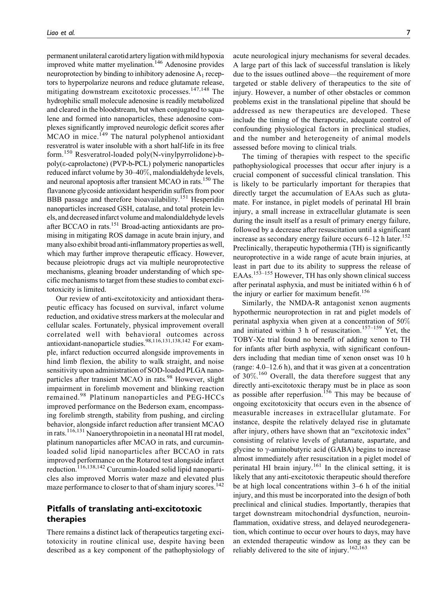permanent unilateral carotid arteryligation with mild hypoxia improved white matter myelination.<sup>146</sup> Adenosine provides neuroprotection by binding to inhibitory adenosine  $A_1$  receptors to hyperpolarize neurons and reduce glutamate release, mitigating downstream excitotoxic processes.<sup>147,148</sup> The hydrophilic small molecule adenosine is readily metabolized and cleared in the bloodstream, but when conjugated to squalene and formed into nanoparticles, these adenosine complexes significantly improved neurologic deficit scores after  $MCAO$  in mice.<sup>149</sup> The natural polyphenol antioxidant resveratrol is water insoluble with a short half-life in its free form.<sup>150</sup> Resveratrol-loaded poly(N-vinylpyrrolidone)-bpoly(e-caprolactone) (PVP-b-PCL) polymeric nanoparticles reduced infarct volume by 30–40%, malondialdehyde levels, and neuronal apoptosis after transient MCAO in rats.<sup>150</sup> The flavanone glycoside antioxidant hesperidin suffers from poor BBB passage and therefore bioavailability.<sup>151</sup> Hesperidin nanoparticles increased GSH, catalase, and total protein levels, and decreased infarct volume and malondialdehydelevels after BCCAO in rats.151 Broad-acting antioxidants are promising in mitigating ROS damage in acute brain injury, and many also exhibit broad anti-inflammatory properties as well, which may further improve therapeutic efficacy. However, because pleiotropic drugs act via multiple neuroprotective mechanisms, gleaning broader understanding of which specific mechanisms to target from these studies to combat excitotoxicity is limited.

Our review of anti-excitotoxicity and antioxidant therapeutic efficacy has focused on survival, infarct volume reduction, and oxidative stress markers at the molecular and cellular scales. Fortunately, physical improvement overall correlated well with behavioral outcomes across antioxidant-nanoparticle studies.98,116,131,138,142 For example, infarct reduction occurred alongside improvements in hind limb flexion, the ability to walk straight, and noise sensitivity upon administration of SOD-loaded PLGA nanoparticles after transient MCAO in rats.<sup>98</sup> However, slight impairment in forelimb movement and blinking reaction remained.<sup>98</sup> Platinum nanoparticles and PEG-HCCs improved performance on the Bederson exam, encompassing forelimb strength, stability from pushing, and circling behavior, alongside infarct reduction after transient MCAO in rats.116,131 Nanoerythropoietin in a neonatal HI rat model, platinum nanoparticles after MCAO in rats, and curcuminloaded solid lipid nanoparticles after BCCAO in rats improved performance on the Rotarod test alongside infarct reduction.<sup>116,138,142</sup> Curcumin-loaded solid lipid nanoparticles also improved Morris water maze and elevated plus maze performance to closer to that of sham injury scores.<sup>142</sup>

### **Pitfalls of translating anti-excitotoxic therapies**

There remains a distinct lack of therapeutics targeting excitotoxicity in routine clinical use, despite having been described as a key component of the pathophysiology of acute neurological injury mechanisms for several decades. A large part of this lack of successful translation is likely due to the issues outlined above—the requirement of more targeted or stable delivery of therapeutics to the site of injury. However, a number of other obstacles or common problems exist in the translational pipeline that should be addressed as new therapeutics are developed. These include the timing of the therapeutic, adequate control of confounding physiological factors in preclinical studies, and the number and heterogeneity of animal models assessed before moving to clinical trials.

The timing of therapies with respect to the specific pathophysiological processes that occur after injury is a crucial component of successful clinical translation. This is likely to be particularly important for therapies that directly target the accumulation of EAAs such as glutamate. For instance, in piglet models of perinatal HI brain injury, a small increase in extracellular glutamate is seen during the insult itself as a result of primary energy failure, followed by a decrease after resuscitation until a significant increase as secondary energy failure occurs  $6-12$  h later.<sup>152</sup> Preclinically, therapeutic hypothermia (TH) is significantly neuroprotective in a wide range of acute brain injuries, at least in part due to its ability to suppress the release of EAAs.<sup>153–155</sup> However, TH has only shown clinical success after perinatal asphyxia, and must be initiated within 6 h of the injury or earlier for maximum benefit.<sup>156</sup>

Similarly, the NMDA-R antagonist xenon augments hypothermic neuroprotection in rat and piglet models of perinatal asphyxia when given at a concentration of 50% and initiated within 3 h of resuscitation.<sup>157-159</sup> Yet, the TOBY-Xe trial found no benefit of adding xenon to TH for infants after birth asphyxia, with significant confounders including that median time of xenon onset was 10 h (range: 4.0–12.6 h), and that it was given at a concentration of 30%.<sup>160</sup> Overall, the data therefore suggest that any directly anti-excitotoxic therapy must be in place as soon as possible after reperfusion.<sup>156</sup> This may be because of ongoing excitotoxicity that occurs even in the absence of measurable increases in extracellular glutamate. For instance, despite the relatively delayed rise in glutamate after injury, others have shown that an "excitotoxic index" consisting of relative levels of glutamate, aspartate, and glycine to  $\gamma$ -aminobutyric acid (GABA) begins to increase almost immediately after resuscitation in a piglet model of perinatal HI brain injury.<sup>161</sup> In the clinical setting, it is likely that any anti-excitotoxic therapeutic should therefore be at high local concentrations within 3–6 h of the initial injury, and this must be incorporated into the design of both preclinical and clinical studies. Importantly, therapies that target downstream mitochondrial dysfunction, neuroinflammation, oxidative stress, and delayed neurodegeneration, which continue to occur over hours to days, may have an extended therapeutic window as long as they can be reliably delivered to the site of injury.<sup>162,163</sup>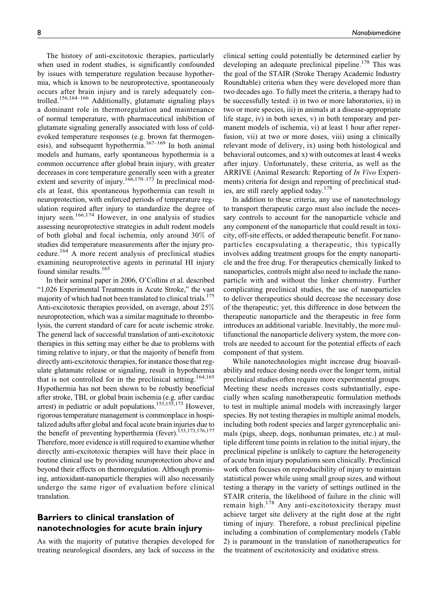The history of anti-excitotoxic therapies, particularly when used in rodent studies, is significantly confounded by issues with temperature regulation because hypothermia, which is known to be neuroprotective, spontaneously occurs after brain injury and is rarely adequately controlled.156,164–166 Additionally, glutamate signaling plays a dominant role in thermoregulation and maintenance of normal temperature, with pharmaceutical inhibition of glutamate signaling generally associated with loss of coldevoked temperature responses (e.g. brown fat thermogenesis), and subsequent hypothermia.<sup>167-169</sup> In both animal models and humans, early spontaneous hypothermia is a common occurrence after global brain injury, with greater decreases in core temperature generally seen with a greater extent and severity of injury.<sup>166,170–173</sup> In preclinical models at least, this spontaneous hypothermia can result in neuroprotection, with enforced periods of temperature regulation required after injury to standardize the degree of injury seen.<sup>166,174</sup> However, in one analysis of studies assessing neuroprotective strategies in adult rodent models of both global and focal ischemia, only around 30% of studies did temperature measurements after the injury procedure.<sup>164</sup> A more recent analysis of preclinical studies examining neuroprotective agents in perinatal HI injury found similar results.<sup>165</sup>

In their seminal paper in 2006, O'Collins et al. described "1,026 Experimental Treatments in Acute Stroke," the vast majority of which had not been translated to clinical trials.<sup>175</sup> Anti-excitotoxic therapies provided, on average, about 25% neuroprotection, which was a similar magnitude to thrombolysis, the current standard of care for acute ischemic stroke. The general lack of successful translation of anti-excitotoxic therapies in this setting may either be due to problems with timing relative to injury, or that the majority of benefit from directly anti-excitotoxic therapies, for instance those that regulate glutamate release or signaling, result in hypothermia that is not controlled for in the preclinical setting.<sup>164,165</sup> Hypothermia has not been shown to be robustly beneficial after stroke, TBI, or global brain ischemia (e.g. after cardiac arrest) in pediatric or adult populations.<sup>153,155,173</sup> However, rigorous temperature management is commonplace in hospitalized adults after global and focal acute brain injuries due to the benefit of preventing hyperthermia (fever).<sup>153,173,176,177</sup> Therefore, more evidence is still required to examine whether directly anti-excitotoxic therapies will have their place in routine clinical use by providing neuroprotection above and beyond their effects on thermoregulation. Although promising, antioxidant-nanoparticle therapies will also necessarily undergo the same rigor of evaluation before clinical translation.

### **Barriers to clinical translation of nanotechnologies for acute brain injury**

As with the majority of putative therapies developed for treating neurological disorders, any lack of success in the clinical setting could potentially be determined earlier by developing an adequate preclinical pipeline.<sup>178</sup> This was the goal of the STAIR (Stroke Therapy Academic Industry Roundtable) criteria when they were developed more than two decades ago. To fully meet the criteria, a therapy had to be successfully tested: i) in two or more laboratories, ii) in two or more species, iii) in animals at a disease-appropriate life stage, iv) in both sexes, v) in both temporary and permanent models of ischemia, vi) at least 1 hour after reperfusion, vii) at two or more doses, viii) using a clinically relevant mode of delivery, ix) using both histological and behavioral outcomes, and x) with outcomes at least 4 weeks after injury. Unfortunately, these criteria, as well as the ARRIVE (Animal Research: Reporting of In Vivo Experiments) criteria for design and reporting of preclinical studies, are still rarely applied today.<sup>178</sup>

In addition to these criteria, any use of nanotechnology to transport therapeutic cargo must also include the necessary controls to account for the nanoparticle vehicle and any component of the nanoparticle that could result in toxicity, off-site effects, or added therapeutic benefit. For nanoparticles encapsulating a therapeutic, this typically involves adding treatment groups for the empty nanoparticle and the free drug. For therapeutics chemically linked to nanoparticles, controls might also need to include the nanoparticle with and without the linker chemistry. Further complicating preclinical studies, the use of nanoparticles to deliver therapeutics should decrease the necessary dose of the therapeutic; yet, this difference in dose between the therapeutic nanoparticle and the therapeutic in free form introduces an additional variable. Inevitably, the more multifunctional the nanoparticle delivery system, the more controls are needed to account for the potential effects of each component of that system.

While nanotechnologies might increase drug bioavailability and reduce dosing needs over the longer term, initial preclinical studies often require more experimental groups. Meeting these needs increases costs substantially, especially when scaling nanotherapeutic formulation methods to test in multiple animal models with increasingly larger species. By not testing therapies in multiple animal models, including both rodent species and larger gyrencephalic animals (pigs, sheep, dogs, nonhuman primates, etc.) at multiple different time points in relation to the initial injury, the preclinical pipeline is unlikely to capture the heterogeneity of acute brain injury populations seen clinically. Preclinical work often focuses on reproducibility of injury to maintain statistical power while using small group sizes, and without testing a therapy in the variety of settings outlined in the STAIR criteria, the likelihood of failure in the clinic will remain high. $178$  Any anti-excitotoxicity therapy must achieve target site delivery at the right dose at the right timing of injury. Therefore, a robust preclinical pipeline including a combination of complementary models (Table 2) is paramount in the translation of nanotherapeutics for the treatment of excitotoxicity and oxidative stress.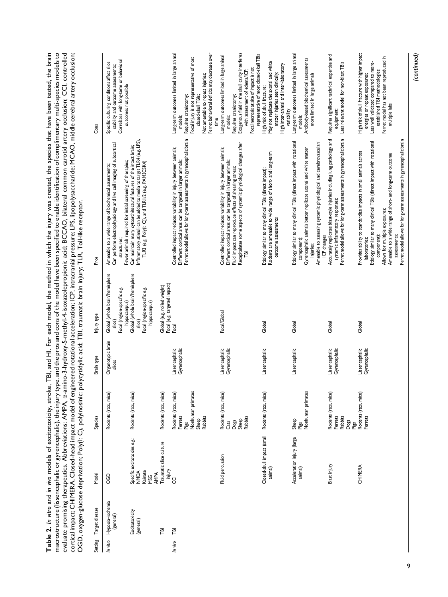macrostructure (lissencephalic or gyrencephalic), the injury type, and the pros and cons of the model have been specified to enable identification of complimentary multi-species models to<br>evaluate promising therapeutics. A Table 2. In vitro and in vivo models of excitotoxicity, stroke, TBI, and HI. For each model, the method in which the injury was created, the species that have been tested, the brain Table 2. In vitro and in vivo models of excitotoxicity, stroke, TBI, and HI. For each model, the method in which the injury was created, the species that have been tested, the brain macrostructure (lissencephalic or gyrencephalic), the injury type, and the pros and cons of the model have been specified to enable identification of complimentary multi-species models to evaluate promising therapeutics. Abbreviations: AMPA, a-amino-3-hydroxy-5-methyl-4-isoxazolepropionic acid; BCCAO, bilateral common carotid artery occlusion; CCI, controlled cortical impact; CHIMERA, Closed-head impact model of engineered rotational acceleration; ICP, intracranial pressure; LPS, lipopolysaccharide; MCAO, middle cerebral artery occlusion; OGD, oxygen-glucose deprivation; Poly(I: C), polyinosinic: polycytidylic acid; TBI, traumatic brain injury; TLR, Toll-like receptor.

| Setting  | Target disease                | Model                                                               | Species                                                                          | Brain type                      | Injury type                                                                             | Pros                                                                                                                                                                                                                                                                                                                                                          | Cons                                                                                                                                                                                                                                                    |
|----------|-------------------------------|---------------------------------------------------------------------|----------------------------------------------------------------------------------|---------------------------------|-----------------------------------------------------------------------------------------|---------------------------------------------------------------------------------------------------------------------------------------------------------------------------------------------------------------------------------------------------------------------------------------------------------------------------------------------------------------|---------------------------------------------------------------------------------------------------------------------------------------------------------------------------------------------------------------------------------------------------------|
| In vitro | Hypoxia-ischemia<br>(general) | 90                                                                  | Rodents (rats, mice)                                                             | Organotypic brain<br>slices     | Global (whole brain/hemisphere<br>Focal (region-specific e.g.<br>hippocampus)<br>slice) | Can perform electrophysiology and live cell imaging of subcortical<br>Fewer animals required for initial screening of therapies;<br>Amenable to a wide range of biochemical assessments;<br>structures;                                                                                                                                                       | Correlates with long-term or behavioral<br>Specific culturing conditions affect slice<br>stability and outcome assessments;<br>outcomes not possible                                                                                                    |
|          | Excitotoxicity<br>(general)   | Specific excitotoxins e.g.:<br>Kainate<br>NOM<br>AMPA<br><b>MSG</b> | Rodents (rats, mice)                                                             |                                 | Global (whole brain/hemisphere<br>Focal (region-specific e.g.<br>hippocampus)<br>slice) | Inflammatory stimuli can be added to media to target TLR4 (e.g. LPS)<br>Can maintain many cytoarchitectural features of the intact brain;<br>TLR3 (e.g. Poly(l: C)), and TLR1/2 (e.g. PAM3CSK4)                                                                                                                                                               |                                                                                                                                                                                                                                                         |
|          | 严                             | Traumatic slice culture                                             | Rodents (rats, mice)                                                             |                                 | Focal (e.g. targeted impact)<br>Global (e.g. rolled weight)                             |                                                                                                                                                                                                                                                                                                                                                               |                                                                                                                                                                                                                                                         |
| In vivo  | FBI                           | Yanjury<br>CCI                                                      | Nonhuman primates<br>Rodents (rats, mice)<br>Ferrets<br>Rabbits<br>Sheep<br>Pigs | Lissencephalic<br>Gyrencephalic | Focal                                                                                   | Ferret model allows for long-term assessments in gyrencephalic brain<br>Controlled impact reduces variability in injury between animals;<br>Different cortical areas can be targeted in larger animals;                                                                                                                                                       | Long-term outcomes limited in large animal<br>Ferret behavioral deficits may decrease over<br>Focal injury is not representative of most<br>Not amenable to repeat injuries;<br>closed-skull TBIs;<br>Requires craniotomy;<br>models;<br>time           |
|          |                               | Fluid percussion                                                    | Rodents (rats, mice)<br>Dogs<br>Sheep<br>Rabbits<br>Cats                         | Lissencephalic<br>Gyrencephalic | Focal/Global                                                                            | Recapitulates some aspects of systemic physiological changes after<br>Controlled impact reduces variability in injury between animals;<br>Different cortical areas can be targeted in larger animals;<br>Fluid impact can reproduce effects of shearing stress;<br>严                                                                                          | Exogenous fluid in the skull cavity interferes<br>representative of most closed-skull TBIs<br>Long-term outcomes limited in large animal<br>Focal necrosis at site of impact is not<br>with assessment of edema/ICP;<br>Requires craniotomy;<br>models; |
|          |                               | Closed-skull impact (small<br>animal)                               | Rodents (rats, mice)                                                             | Lissencephalic                  | Global                                                                                  | Rodents are amenable to wide range of short- and long-term<br>Etiology similar to many clinical TBIs (direct impact);<br>outcome assessments                                                                                                                                                                                                                  | May not replicate the axonal and white<br>High inter-animal and inter-laboratory<br>matter injuries seen clinically;<br>High risk of skull fracture;<br>variability                                                                                     |
|          |                               | Acceleration injury (large<br>animal)                               | Pigs<br>Nonhuman primates<br>Sheep                                               | Lissencephalic                  | Global                                                                                  | Etiology similar to many clinical TBIs (direct impact with rotational<br>Amenable to assessing systemic physiological and cerebrovascular/<br>Gyrencephalic animals better replicate axonal and white matter<br>ICP changes<br>component);<br>injuries:                                                                                                       | Long-term outcomes limited in large animal<br>Antibody-based biochemical assessments<br>more limited in large animals<br>models;                                                                                                                        |
|          |                               | Blast injury                                                        | Rodents (rats, mice)<br>Ferrets<br><b>Rabbits</b><br>Dogs<br>Pigs                | Lissencephalic<br>Gyrencephalic | Global                                                                                  | Ferret model allows for long-term assessments in gyrencephalic brain<br>Accurately replicates blast-style injuries including lung pathology and<br>systemic inflammatory responses;                                                                                                                                                                           | Requires significant technical expertise and<br>Less relevant model for non-blast TBIs<br>equipment;                                                                                                                                                    |
|          |                               | CHIMERA                                                             | Rodents (rats, mice)<br>Ferrets                                                  | Lissencephalic<br>Gyrencephalic | Global                                                                                  | Ferret model allows for long-term assessments in gyrencephalic brain<br>Etiology similar to many clinical TBIs (direct impact with rotational<br>Provides ability to standardize impacts in small animals across<br>Amenable to a wide range of short- and long-term outcome<br>Allows for multiple exposures;<br>assessments;<br>component)<br>laboratories; | High risk of skull fracture with higher impact<br>Ferret model has not been reproduced in<br>Less well validated compared to more-<br>established TBI methodologies;<br>energies or repeat exposures;<br>multiple labs                                  |

*(continued)*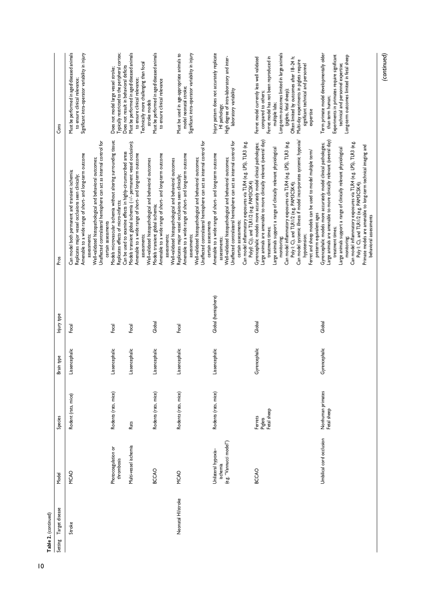| Table 2. (continued)   |                                                            |                                   |                |                     |                                                                                                                                                                                                                                                                                                                                                                                                                                                                                                                      |                                                                                                                                                                                                                                                                                                                                                      |
|------------------------|------------------------------------------------------------|-----------------------------------|----------------|---------------------|----------------------------------------------------------------------------------------------------------------------------------------------------------------------------------------------------------------------------------------------------------------------------------------------------------------------------------------------------------------------------------------------------------------------------------------------------------------------------------------------------------------------|------------------------------------------------------------------------------------------------------------------------------------------------------------------------------------------------------------------------------------------------------------------------------------------------------------------------------------------------------|
| Setting Target disease | Model                                                      | Species                           | Brain type     | Injury type         | Pros                                                                                                                                                                                                                                                                                                                                                                                                                                                                                                                 | Cons                                                                                                                                                                                                                                                                                                                                                 |
| Stroke                 | MCAO                                                       | Rodent (rats, mice)               | Lissencephalic | Focal               | Amenable to a wide range of short- and long-term outcome<br>Well-validated histopathological and behavioral outcomes;<br>Can model both permanent and transient ischemia;<br>Replicates major vessel occlusions seen clinically;<br>assessments;                                                                                                                                                                                                                                                                     | Must be performed in aged/diseased animals<br>Significant intra-operator variability in injury<br>to ensure clinical relevance;                                                                                                                                                                                                                      |
|                        | Photocoagulation or<br>thrombosis                          | Rodents (rats, mice)              | Lissencephalic | Focal               | Models microvascular ischemia without altering surrounding tissue;<br>Unaffected contralateral hemisphere can act as internal control for<br>Replicates effects of micro-infarcts;<br>certain assessments                                                                                                                                                                                                                                                                                                            | Typically restricted to the peripheral cortex;<br>Does not model large vessel stroke;                                                                                                                                                                                                                                                                |
|                        | Multi-vessel ischemia                                      | Rats                              | Lissencephalic | Focal               | Models transient global ischemia (+/- permanent vessel occlusion);<br>Can be used to examine effects in highly-circumscribed areas<br>Amenable to a wide range of short- and long-term outcome<br>assessments;                                                                                                                                                                                                                                                                                                       | Must be performed in aged/diseased animals<br>Technically more challenging than focal<br>Does not result in behavioral deficits<br>to ensure clinical relevance;                                                                                                                                                                                     |
|                        | <b>BCCAO</b>                                               | Rodents (rats, mice)              | Lissencephalic | Global              | Amenable to a wide range of short- and long-term outcome<br>Well-validated histopathological and behavioral outcomes<br>Models transient global ischemia;<br>assessments;                                                                                                                                                                                                                                                                                                                                            | Must be performed in aged/diseased animals<br>to ensure clinical relevance<br>stroke models                                                                                                                                                                                                                                                          |
| Neonatal HI/stroke     | MCAO                                                       | Rodents (rats, mice)              | Lissencephalic | Focal               | Unaffected contralateral hemisphere can act as internal control for<br>Amenable to a wide range of short- and long-term outcome<br>Well-validated histopathological and behavioral outcomes;<br>Well-validated histopathological and behavioral outcomes<br>Replicates major vessel occlusions seen clinically;<br>certain assessments<br>assessments;                                                                                                                                                               | Significant intra-operator variability in injury<br>Must be used in age-appropriate animals to<br>model neonatal stroke;                                                                                                                                                                                                                             |
|                        | (e.g. "Vannucci model")<br>Unilateral hypoxia-<br>ischemia | Rodents (rats, mice)              | Lissencephalic | Global (hemisphere) | Unaffected contralateral hemisphere can act as internal control for<br>Can model inflammatory exposures via TLR4 (e.g. LPS), TLR3 (e.g.<br>Amenable to a wide range of short- and long-term outcome<br>Well-validated histopathological and behavioral outcomes;<br>Poly(l: C)), and TLR1/2 (e.g. PAM3CSK4)<br>certain assessments;<br>assessments;                                                                                                                                                                  | Injury pattern does not accurately replicate<br>High degree of intra-laboratory and inter-<br>laboratory variability<br>HI pathology;                                                                                                                                                                                                                |
|                        | BCCAO                                                      | Piglets<br>Fetal sheep<br>Ferrets | Gyrencephalic  | Global              | Large animals are amenable to more clinically relevant (several day)<br>Can model systemic illness if model incorporates systemic hypoxia/<br>Can model inflammatory exposures via TLR4 (e.g. LPS), TLR3 (e.g.<br>Gyrencephalic models more accurately model clinical pathologies;<br>Large animals support a range of clinically relevant physiological<br>Ferret and sheep models can be used to model multiple term/<br>Poly I: C), and TLR1/2 (e.g. PAM3CSK4);<br>treatment times;<br>hypotension;<br>monitoring | Long-term outcomes limited in large animals<br>Ferret model currently less well validated<br>Ferret model has not been reproduced in<br>Often limited by outcomes after 18-24 h;<br>Multi-day experiments in piglets require<br>significant technical and personnel<br>(piglets, fetal sheep);<br>compared to others;<br>multiple labs;<br>expertise |
|                        | Umbilical cord occlusion                                   | Nonhuman primates<br>Fetal sheep  | Gyrencephalic  | Global              | Gyrencephalic models more accurately model clinical pathologies;<br>Large animals are amenable to more clinically relevant (several day)<br>Can model inflammatory exposures via TLR4 (e.g. LPS), TLR3 (e.g.<br>Primate models are amenable to long-term technical imaging and<br>Large animals support a range of clinically relevant physiological<br>Poly I: C), and TLR I/2 (e.g. PAM3CSK4);<br>preterm equivalent ages<br>behavioral assessments<br>treatment times;<br>monitoring                              | Term primate model developmentally older<br>Experiments in primates require significant<br>Long-term outcomes limited in fetal sheep<br>technical and personnel expertise;<br>than term human;                                                                                                                                                       |

*(continued)*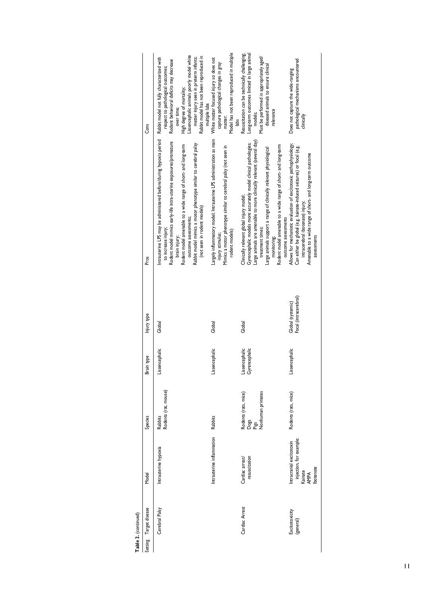| Table 2. (continued)        |                                                                                    |                                                           |                                 |                                            |                                                                                                                                                                                                                                                                                                                                                                                      |                                                                                                                                                                                                                                                                                                                         |
|-----------------------------|------------------------------------------------------------------------------------|-----------------------------------------------------------|---------------------------------|--------------------------------------------|--------------------------------------------------------------------------------------------------------------------------------------------------------------------------------------------------------------------------------------------------------------------------------------------------------------------------------------------------------------------------------------|-------------------------------------------------------------------------------------------------------------------------------------------------------------------------------------------------------------------------------------------------------------------------------------------------------------------------|
| Target disease<br>Setting   | Model                                                                              | Species                                                   | Brain type                      | Injury type                                | Pros                                                                                                                                                                                                                                                                                                                                                                                 | Cons                                                                                                                                                                                                                                                                                                                    |
| Cerebral Palsy              | Intrauterine hypoxia                                                               | Rabbits<br>Rodents (rat, mouse)                           | Lissencephalic                  | Global                                     | Intrauterine LPS may be administered before/during hypoxia period<br>Rodent model mimics early-life intra-uterine exposures/premature<br>Rabbit model mimics a motor phenotype similar to cerebral palsy<br>Rodent model amenable to a wide range of short- and long-term<br>(not seen in rodent models)<br>outcome assessments;<br>to increase injury;<br>brain injury;             | Lissencephalic animals poorly model white<br>Rabbit model has not been reproduced in<br>Rabbit model not fully characterized with<br>matter injury seen in preterm infants;<br>Rodent behavioral deficits may decrease<br>respect to pathological outcomes;<br>High degree of mortality;<br>multiple labs<br>over time; |
|                             | Intrauterine inflammation                                                          | Rabbits                                                   | Lissencephalic                  | Global                                     | Largely inflammatory model; Intrauterine LPS administration as main<br>Mimics a motor phenotype similar to cerebral palsy (not seen in<br>rodent models)<br>injury stimulus;                                                                                                                                                                                                         | Model has not been reproduced in multiple<br>White matter focused injury so does not<br>capture pathological changes in gray<br>matter;<br>labs                                                                                                                                                                         |
| Cardiac Arrest              | resuscitation<br>Cardiac arrest/                                                   | Nonhuman primates<br>Rodents (rats, mice)<br>Dogs<br>Pigs | Lissencephalic<br>Gyrencephalic | Global                                     | Large animals are amenable to more clinically relevant (several day)<br>Gyrencephalic models more accurately model clinical pathologies;<br>Rodent model amenable to a wide range of short- and long-term<br>Large animals support a range of clinically relevant physiological<br>Clinically relevant global injury model;<br>outcome assessments<br>treatment times;<br>monitoring | Resuscitation can be technically challenging;<br>Long-term outcomes limited in large animal<br>Must be performed in appropriately aged/<br>diseased animals to ensure clinical<br>relevance<br>models;                                                                                                                  |
| Excitotoxicity<br>(general) | injection, for example:<br>Intracranial excitotoxin<br>botenate<br>Kainate<br>AMPA | Rodents (rats, mice)                                      | Lissencephalic                  | Focal (intracerebral)<br>Global (systemic) | Allows for mechanistic evaluation of excitotoxic pathophysiology;<br>Can either be global (e.g. kainate-induced seizures) or focal (e.g.<br>Amenable to a wide range of short- and long-term outcome<br>intracerebral ibotenate) injury;<br>assessments                                                                                                                              | pathological mechanisms encountered<br>Does not capture the wide-ranging<br>clinically                                                                                                                                                                                                                                  |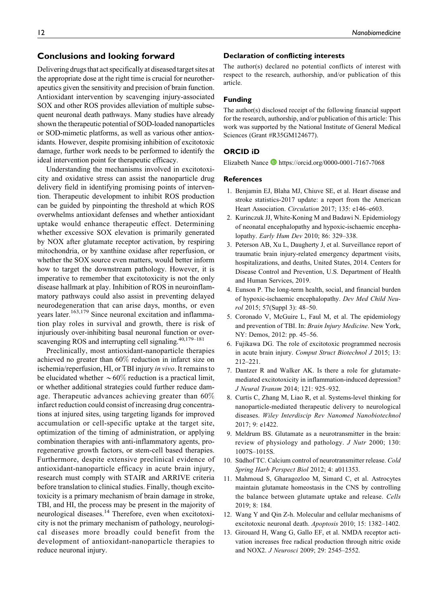Delivering drugs that act specifically at diseasedtarget sites at the appropriate dose at the right time is crucial for neurotherapeutics given the sensitivity and precision of brain function. Antioxidant intervention by scavenging injury-associated SOX and other ROS provides alleviation of multiple subsequent neuronal death pathways. Many studies have already shown the therapeutic potential of SOD-loaded nanoparticles or SOD-mimetic platforms, as well as various other antioxidants. However, despite promising inhibition of excitotoxic damage, further work needs to be performed to identify the ideal intervention point for therapeutic efficacy.

Understanding the mechanisms involved in excitotoxicity and oxidative stress can assist the nanoparticle drug delivery field in identifying promising points of intervention. Therapeutic development to inhibit ROS production can be guided by pinpointing the threshold at which ROS overwhelms antioxidant defenses and whether antioxidant uptake would enhance therapeutic effect. Determining whether excessive SOX elevation is primarily generated by NOX after glutamate receptor activation, by respiring mitochondria, or by xanthine oxidase after reperfusion, or whether the SOX source even matters, would better inform how to target the downstream pathology. However, it is imperative to remember that excitotoxicity is not the only disease hallmark at play. Inhibition of ROS in neuroinflammatory pathways could also assist in preventing delayed neurodegeneration that can arise days, months, or even years later.<sup>163,179</sup> Since neuronal excitation and inflammation play roles in survival and growth, there is risk of injuriously over-inhibiting basal neuronal function or overscavenging ROS and interrupting cell signaling.<sup>40,179–181</sup>

Preclinically, most antioxidant-nanoparticle therapies achieved no greater than 60% reduction in infarct size on ischemia/reperfusion, HI, or TBI injury in vivo. It remains to be elucidated whether  $\sim 60\%$  reduction is a practical limit, or whether additional strategies could further reduce damage. Therapeutic advances achieving greater than  $60\%$ infarct reduction could consist of increasing drug concentrations at injured sites, using targeting ligands for improved accumulation or cell-specific uptake at the target site, optimization of the timing of administration, or applying combination therapies with anti-inflammatory agents, proregenerative growth factors, or stem-cell based therapies. Furthermore, despite extensive preclinical evidence of antioxidant-nanoparticle efficacy in acute brain injury, research must comply with STAIR and ARRIVE criteria before translation to clinical studies. Finally, though excitotoxicity is a primary mechanism of brain damage in stroke, TBI, and HI, the process may be present in the majority of neurological diseases.<sup>14</sup> Therefore, even when excitotoxicity is not the primary mechanism of pathology, neurological diseases more broadly could benefit from the development of antioxidant-nanoparticle therapies to reduce neuronal injury.

### **Declaration of conflicting interests**

The author(s) declared no potential conflicts of interest with respect to the research, authorship, and/or publication of this article.

#### **Funding**

The author(s) disclosed receipt of the following financial support for the research, authorship, and/or publication of this article: This work was supported by the National Institute of General Medical Sciences (Grant #R35GM124677).

#### **ORCID iD**

Elizabeth Nance D<https://orcid.org/0000-0001-7167-7068>

#### **References**

- 1. Benjamin EJ, Blaha MJ, Chiuve SE, et al. Heart disease and stroke statistics-2017 update: a report from the American Heart Association. Circulation 2017; 135: e146-e603.
- 2. Kurinczuk JJ, White-Koning M and Badawi N. Epidemiology of neonatal encephalopathy and hypoxic-ischaemic encephalopathy. Early Hum Dev 2010; 86: 329–338.
- 3. Peterson AB, Xu L, Daugherty J, et al. Surveillance report of traumatic brain injury-related emergency department visits, hospitalizations, and deaths, United States, 2014. Centers for Disease Control and Prevention, U.S. Department of Health and Human Services, 2019.
- 4. Eunson P. The long-term health, social, and financial burden of hypoxic-ischaemic encephalopathy. Dev Med Child Neurol 2015; 57(Suppl 3): 48–50.
- 5. Coronado V, McGuire L, Faul M, et al. The epidemiology and prevention of TBI. In: Brain Injury Medicine. New York, NY: Demos, 2012: pp. 45–56.
- 6. Fujikawa DG. The role of excitotoxic programmed necrosis in acute brain injury. Comput Struct Biotechnol J 2015; 13: 212–221.
- 7. Dantzer R and Walker AK. Is there a role for glutamatemediated excitotoxicity in inflammation-induced depression? J Neural Transm 2014; 121: 925–932.
- 8. Curtis C, Zhang M, Liao R, et al. Systems-level thinking for nanoparticle-mediated therapeutic delivery to neurological diseases. Wiley Interdiscip Rev Nanomed Nanobiotechnol 2017; 9: e1422.
- 9. Meldrum BS. Glutamate as a neurotransmitter in the brain: review of physiology and pathology. J Nutr 2000; 130: 1007S–1015S.
- 10. Südhof TC. Calcium control of neurotransmitter release. Cold Spring Harb Perspect Biol 2012; 4: a011353.
- 11. Mahmoud S, Gharagozloo M, Simard C, et al. Astrocytes maintain glutamate homeostasis in the CNS by controlling the balance between glutamate uptake and release. Cells 2019; 8: 184.
- 12. Wang Y and Qin Z-h. Molecular and cellular mechanisms of excitotoxic neuronal death. Apoptosis 2010; 15: 1382–1402.
- 13. Girouard H, Wang G, Gallo EF, et al. NMDA receptor activation increases free radical production through nitric oxide and NOX2. J Neurosci 2009; 29: 2545–2552.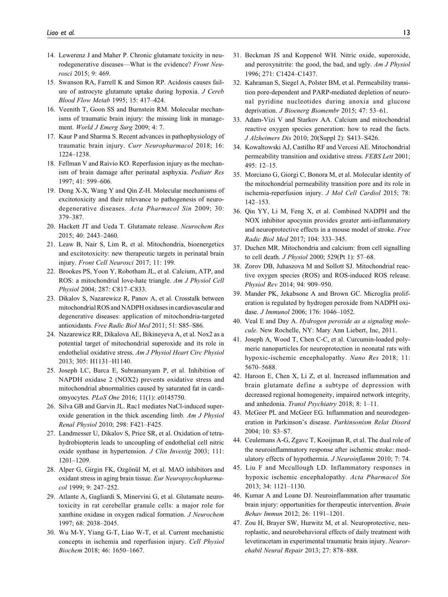- 14. Lewerenz J and Maher P. Chronic glutamate toxicity in neurodegenerative diseases—What is the evidence? Front Neurosci 2015; 9: 469.
- 15. Swanson RA, Farrell K and Simon RP. Acidosis causes failure of astrocyte glutamate uptake during hypoxia. J Cereb Blood Flow Metab 1995; 15: 417–424.
- 16. Veenith T, Goon SS and Burnstein RM. Molecular mechanisms of traumatic brain injury: the missing link in management. World J Emerg Surg 2009; 4: 7.
- 17. Kaur P and Sharma S. Recent advances in pathophysiology of traumatic brain injury. Curr Neuropharmacol 2018; 16: 1224–1238.
- 18. Fellman V and Raivio KO. Reperfusion injury as the mechanism of brain damage after perinatal asphyxia. Pediatr Res 1997; 41: 599–606.
- 19. Dong X-X, Wang Y and Qin Z-H. Molecular mechanisms of excitotoxicity and their relevance to pathogenesis of neurodegenerative diseases. Acta Pharmacol Sin 2009; 30: 379–387.
- 20. Hackett JT and Ueda T. Glutamate release. Neurochem Res 2015; 40: 2443–2460.
- 21. Leaw B, Nair S, Lim R, et al. Mitochondria, bioenergetics and excitotoxicity: new therapeutic targets in perinatal brain injury. Front Cell Neurosci 2017; 11: 199.
- 22. Brookes PS, Yoon Y, Robotham JL, et al. Calcium, ATP, and ROS: a mitochondrial love-hate triangle. Am J Physiol Cell Physiol 2004; 287: C817–C833.
- 23. Dikalov S, Nazarewicz R, Panov A, et al. Crosstalk between mitochondrial ROS and NADPH oxidases in cardiovascular and degenerative diseases: application of mitochondria-targeted antioxidants. Free Radic Biol Med 2011; 51: S85–S86.
- 24. Nazarewicz RR, Dikalova AE, Bikineyeva A, et al. Nox2 as a potential target of mitochondrial superoxide and its role in endothelial oxidative stress. Am J Physiol Heart Circ Physiol 2013; 305: H1131–H1140.
- 25. Joseph LC, Barca E, Subramanyam P, et al. Inhibition of NAPDH oxidase 2 (NOX2) prevents oxidative stress and mitochondrial abnormalities caused by saturated fat in cardiomyocytes. PLoS One 2016; 11(1): e0145750.
- 26. Silva GB and Garvin JL. Rac1 mediates NaCl-induced superoxide generation in the thick ascending limb. Am J Physiol Renal Physiol 2010; 298: F421–F425.
- 27. Landmesser U, Dikalov S, Price SR, et al. Oxidation of tetrahydrobiopterin leads to uncoupling of endothelial cell nitric oxide synthase in hypertension. J Clin Investig 2003; 111: 1201–1209.
- 28. Alper G, Girgin FK, Ozgönül M, et al. MAO inhibitors and oxidant stress in aging brain tissue. Eur Neuropsychopharmacol 1999; 9: 247–252.
- 29. Atlante A, Gagliardi S, Minervini G, et al. Glutamate neurotoxicity in rat cerebellar granule cells: a major role for xanthine oxidase in oxygen radical formation. J Neurochem 1997; 68: 2038–2045.
- 30. Wu M-Y, Yiang G-T, Liao W-T, et al. Current mechanistic concepts in ischemia and reperfusion injury. Cell Physiol Biochem 2018; 46: 1650–1667.
- 31. Beckman JS and Koppenol WH. Nitric oxide, superoxide, and peroxynitrite: the good, the bad, and ugly. Am J Physiol 1996; 271: C1424–C1437.
- 32. Kahraman S, Siegel A, Polster BM, et al. Permeability transition pore-dependent and PARP-mediated depletion of neuronal pyridine nucleotides during anoxia and glucose deprivation. J Bioenerg Biomembr 2015; 47: 53–61.
- 33. Adam-Vizi V and Starkov AA. Calcium and mitochondrial reactive oxygen species generation: how to read the facts. J Alzheimers Dis 2010; 20(Suppl 2): S413–S426.
- 34. Kowaltowski AJ, Castilho RF and Vercesi AE. Mitochondrial permeability transition and oxidative stress. FEBS Lett 2001; 495: 12–15.
- 35. Morciano G, Giorgi C, Bonora M, et al. Molecular identity of the mitochondrial permeability transition pore and its role in ischemia-reperfusion injury. J Mol Cell Cardiol 2015; 78: 142–153.
- 36. Qin YY, Li M, Feng X, et al. Combined NADPH and the NOX inhibitor apocynin provides greater anti-inflammatory and neuroprotective effects in a mouse model of stroke. Free Radic Biol Med 2017; 104: 333–345.
- 37. Duchen MR. Mitochondria and calcium: from cell signalling to cell death. J Physiol 2000; 529(Pt 1): 57–68.
- 38. Zorov DB, Juhaszova M and Sollott SJ. Mitochondrial reactive oxygen species (ROS) and ROS-induced ROS release. Physiol Rev 2014; 94: 909–950.
- 39. Mander PK, Jekabsone A and Brown GC. Microglia proliferation is regulated by hydrogen peroxide from NADPH oxidase. J Immunol 2006; 176: 1046–1052.
- 40. Veal E and Day A. Hydrogen peroxide as a signaling molecule. New Rochelle, NY: Mary Ann Liebert, Inc, 2011.
- 41. Joseph A, Wood T, Chen C-C, et al. Curcumin-loaded polymeric nanoparticles for neuroprotection in neonatal rats with hypoxic-ischemic encephalopathy. Nano Res 2018; 11: 5670–5688.
- 42. Haroon E, Chen X, Li Z, et al. Increased inflammation and brain glutamate define a subtype of depression with decreased regional homogeneity, impaired network integrity, and anhedonia. Transl Psychiatry 2018; 8: 1–11.
- 43. McGeer PL and McGeer EG. Inflammation and neurodegeneration in Parkinson's disease. Parkinsonism Relat Disord 2004; 10: S3–S7.
- 44. Ceulemans A-G, Zgavc T, Kooijman R, et al. The dual role of the neuroinflammatory response after ischemic stroke: modulatory effects of hypothermia. J Neuroinflamm 2010; 7: 74.
- 45. Liu F and Mccullough LD. Inflammatory responses in hypoxic ischemic encephalopathy. Acta Pharmacol Sin 2013; 34: 1121–1130.
- 46. Kumar A and Loane DJ. Neuroinflammation after traumatic brain injury: opportunities for therapeutic intervention. Brain Behav Immun 2012; 26: 1191–1201.
- 47. Zou H, Brayer SW, Hurwitz M, et al. Neuroprotective, neuroplastic, and neurobehavioral effects of daily treatment with levetiracetam in experimental traumatic brain injury. Neurorehabil Neural Repair 2013; 27: 878–888.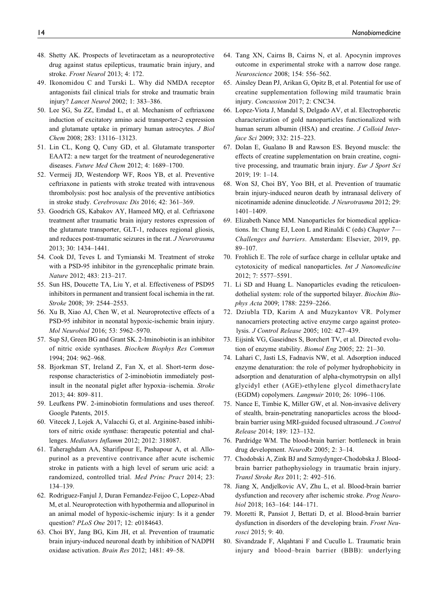- 48. Shetty AK. Prospects of levetiracetam as a neuroprotective drug against status epilepticus, traumatic brain injury, and stroke. Front Neurol 2013; 4: 172.
- 49. Ikonomidou C and Turski L. Why did NMDA receptor antagonists fail clinical trials for stroke and traumatic brain injury? Lancet Neurol 2002; 1: 383–386.
- 50. Lee SG, Su ZZ, Emdad L, et al. Mechanism of ceftriaxone induction of excitatory amino acid transporter-2 expression and glutamate uptake in primary human astrocytes. J Biol Chem 2008; 283: 13116–13123.
- 51. Lin CL, Kong Q, Cuny GD, et al. Glutamate transporter EAAT2: a new target for the treatment of neurodegenerative diseases. Future Med Chem 2012; 4: 1689–1700.
- 52. Vermeij JD, Westendorp WF, Roos YB, et al. Preventive ceftriaxone in patients with stroke treated with intravenous thrombolysis: post hoc analysis of the preventive antibiotics in stroke study. Cerebrovasc Dis 2016; 42: 361–369.
- 53. Goodrich GS, Kabakov AY, Hameed MQ, et al. Ceftriaxone treatment after traumatic brain injury restores expression of the glutamate transporter, GLT-1, reduces regional gliosis, and reduces post-traumatic seizures in the rat. J Neurotrauma 2013; 30: 1434–1441.
- 54. Cook DJ, Teves L and Tymianski M. Treatment of stroke with a PSD-95 inhibitor in the gyrencephalic primate brain. Nature 2012; 483: 213–217.
- 55. Sun HS, Doucette TA, Liu Y, et al. Effectiveness of PSD95 inhibitors in permanent and transient focal ischemia in the rat. Stroke 2008; 39: 2544–2553.
- 56. Xu B, Xiao AJ, Chen W, et al. Neuroprotective effects of a PSD-95 inhibitor in neonatal hypoxic-ischemic brain injury. Mol Neurobiol 2016; 53: 5962–5970.
- 57. Sup SJ, Green BG and Grant SK. 2-Iminobiotin is an inhibitor of nitric oxide synthases. Biochem Biophys Res Commun 1994; 204: 962–968.
- 58. Bjorkman ST, Ireland Z, Fan X, et al. Short-term doseresponse characteristics of 2-iminobiotin immediately postinsult in the neonatal piglet after hypoxia–ischemia. Stroke 2013; 44: 809–811.
- 59. Leufkens PW. 2-iminobiotin formulations and uses thereof. Google Patents, 2015.
- 60. Vitecek J, Lojek A, Valacchi G, et al. Arginine-based inhibitors of nitric oxide synthase: therapeutic potential and challenges. Mediators Inflamm 2012; 2012: 318087.
- 61. Taheraghdam AA, Sharifipour E, Pashapour A, et al. Allopurinol as a preventive contrivance after acute ischemic stroke in patients with a high level of serum uric acid: a randomized, controlled trial. Med Princ Pract 2014; 23: 134–139.
- 62. Rodriguez-Fanjul J, Duran Fernandez-Feijoo C, Lopez-Abad M, et al. Neuroprotection with hypothermia and allopurinol in an animal model of hypoxic-ischemic injury: Is it a gender question? *PLoS One* 2017; 12: e0184643.
- 63. Choi BY, Jang BG, Kim JH, et al. Prevention of traumatic brain injury-induced neuronal death by inhibition of NADPH oxidase activation. Brain Res 2012; 1481: 49–58.
- 64. Tang XN, Cairns B, Cairns N, et al. Apocynin improves outcome in experimental stroke with a narrow dose range. Neuroscience 2008; 154: 556–562.
- 65. Ainsley Dean PJ, Arikan G, Opitz B, et al. Potential for use of creatine supplementation following mild traumatic brain injury. Concussion 2017; 2: CNC34.
- 66. Lopez-Viota J, Mandal S, Delgado AV, et al. Electrophoretic characterization of gold nanoparticles functionalized with human serum albumin (HSA) and creatine. *J Colloid Inter*face Sci 2009; 332: 215–223.
- 67. Dolan E, Gualano B and Rawson ES. Beyond muscle: the effects of creatine supplementation on brain creatine, cognitive processing, and traumatic brain injury. Eur J Sport Sci 2019; 19: 1–14.
- 68. Won SJ, Choi BY, Yoo BH, et al. Prevention of traumatic brain injury-induced neuron death by intranasal delivery of nicotinamide adenine dinucleotide. J Neurotrauma 2012; 29: 1401–1409.
- 69. Elizabeth Nance MM. Nanoparticles for biomedical applications. In: Chung EJ, Leon L and Rinaldi C (eds) Chapter 7— Challenges and barriers. Amsterdam: Elsevier, 2019, pp. 89–107.
- 70. Frohlich E. The role of surface charge in cellular uptake and cytotoxicity of medical nanoparticles. Int J Nanomedicine 2012; 7: 5577–5591.
- 71. Li SD and Huang L. Nanoparticles evading the reticuloendothelial system: role of the supported bilayer. Biochim Biophys Acta 2009; 1788: 2259–2266.
- 72. Dziubla TD, Karim A and Muzykantov VR. Polymer nanocarriers protecting active enzyme cargo against proteolysis. J Control Release 2005; 102: 427–439.
- 73. Eijsink VG, Gaseidnes S, Borchert TV, et al. Directed evolution of enzyme stability. Biomol Eng 2005; 22: 21–30.
- 74. Lahari C, Jasti LS, Fadnavis NW, et al. Adsorption induced enzyme denaturation: the role of polymer hydrophobicity in adsorption and denaturation of alpha-chymotrypsin on allyl glycidyl ether (AGE)-ethylene glycol dimethacrylate (EGDM) copolymers. Langmuir 2010; 26: 1096–1106.
- 75. Nance E, Timbie K, Miller GW, et al. Non-invasive delivery of stealth, brain-penetrating nanoparticles across the bloodbrain barrier using MRI-guided focused ultrasound. J Control Release 2014; 189: 123–132.
- 76. Pardridge WM. The blood-brain barrier: bottleneck in brain drug development. NeuroRx 2005; 2: 3–14.
- 77. Chodobski A, Zink BJ and Szmydynger-Chodobska J. Bloodbrain barrier pathophysiology in traumatic brain injury. Transl Stroke Res 2011; 2: 492–516.
- 78. Jiang X, Andjelkovic AV, Zhu L, et al. Blood-brain barrier dysfunction and recovery after ischemic stroke. Prog Neurobiol 2018; 163–164: 144–171.
- 79. Moretti R, Pansiot J, Bettati D, et al. Blood-brain barrier dysfunction in disorders of the developing brain. Front Neurosci 2015; 9: 40.
- 80. Sivandzade F, Alqahtani F and Cucullo L. Traumatic brain injury and blood–brain barrier (BBB): underlying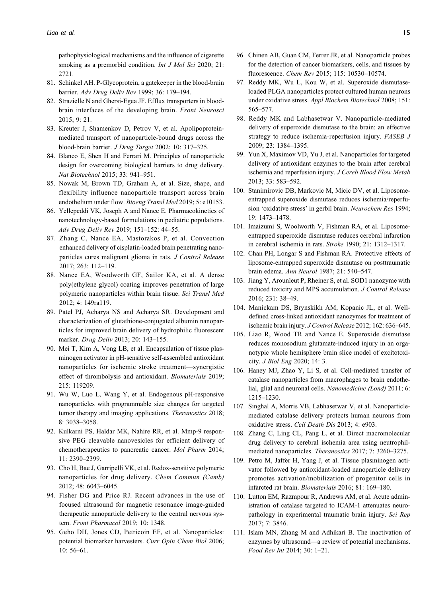pathophysiological mechanisms and the influence of cigarette smoking as a premorbid condition. *Int J Mol Sci* 2020; 21: 2721.

- 81. Schinkel AH. P-Glycoprotein, a gatekeeper in the blood-brain barrier. Adv Drug Deliv Rev 1999; 36: 179–194.
- 82. Strazielle N and Ghersi-Egea JF. Efflux transporters in bloodbrain interfaces of the developing brain. Front Neurosci 2015; 9: 21.
- 83. Kreuter J, Shamenkov D, Petrov V, et al. Apolipoproteinmediated transport of nanoparticle-bound drugs across the blood-brain barrier. J Drug Target 2002; 10: 317–325.
- 84. Blanco E, Shen H and Ferrari M. Principles of nanoparticle design for overcoming biological barriers to drug delivery. Nat Biotechnol 2015; 33: 941–951.
- 85. Nowak M, Brown TD, Graham A, et al. Size, shape, and flexibility influence nanoparticle transport across brain endothelium under flow. Bioeng Transl Med 2019; 5: e10153.
- 86. Yellepeddi VK, Joseph A and Nance E. Pharmacokinetics of nanotechnology-based formulations in pediatric populations. Adv Drug Deliv Rev 2019; 151–152: 44–55.
- 87. Zhang C, Nance EA, Mastorakos P, et al. Convection enhanced delivery of cisplatin-loaded brain penetrating nanoparticles cures malignant glioma in rats. J Control Release 2017; 263: 112–119.
- 88. Nance EA, Woodworth GF, Sailor KA, et al. A dense poly(ethylene glycol) coating improves penetration of large polymeric nanoparticles within brain tissue. Sci Transl Med 2012; 4: 149ra119.
- 89. Patel PJ, Acharya NS and Acharya SR. Development and characterization of glutathione-conjugated albumin nanoparticles for improved brain delivery of hydrophilic fluorescent marker. Drug Deliv 2013; 20: 143–155.
- 90. Mei T, Kim A, Vong LB, et al. Encapsulation of tissue plasminogen activator in pH-sensitive self-assembled antioxidant nanoparticles for ischemic stroke treatment—synergistic effect of thrombolysis and antioxidant. Biomaterials 2019; 215: 119209.
- 91. Wu W, Luo L, Wang Y, et al. Endogenous pH-responsive nanoparticles with programmable size changes for targeted tumor therapy and imaging applications. Theranostics 2018; 8: 3038–3058.
- 92. Kulkarni PS, Haldar MK, Nahire RR, et al. Mmp-9 responsive PEG cleavable nanovesicles for efficient delivery of chemotherapeutics to pancreatic cancer. Mol Pharm 2014; 11: 2390–2399.
- 93. Cho H, Bae J, Garripelli VK, et al. Redox-sensitive polymeric nanoparticles for drug delivery. Chem Commun (Camb) 2012; 48: 6043–6045.
- 94. Fisher DG and Price RJ. Recent advances in the use of focused ultrasound for magnetic resonance image-guided therapeutic nanoparticle delivery to the central nervous system. Front Pharmacol 2019; 10: 1348.
- 95. Geho DH, Jones CD, Petricoin EF, et al. Nanoparticles: potential biomarker harvesters. Curr Opin Chem Biol 2006; 10: 56–61.
- 96. Chinen AB, Guan CM, Ferrer JR, et al. Nanoparticle probes for the detection of cancer biomarkers, cells, and tissues by fluorescence. Chem Rev 2015; 115: 10530–10574.
- 97. Reddy MK, Wu L, Kou W, et al. Superoxide dismutaseloaded PLGA nanoparticles protect cultured human neurons under oxidative stress. Appl Biochem Biotechnol 2008; 151: 565–577.
- 98. Reddy MK and Labhasetwar V. Nanoparticle-mediated delivery of superoxide dismutase to the brain: an effective strategy to reduce ischemia-reperfusion injury. FASEB J 2009; 23: 1384–1395.
- 99. Yun X, Maximov VD, Yu J, et al. Nanoparticles for targeted delivery of antioxidant enzymes to the brain after cerebral ischemia and reperfusion injury. J Cereb Blood Flow Metab 2013; 33: 583–592.
- 100. Stanimirovic DB, Markovic M, Micic DV, et al. Liposomeentrapped superoxide dismutase reduces ischemia/reperfusion 'oxidative stress' in gerbil brain. Neurochem Res 1994; 19: 1473–1478.
- 101. Imaizumi S, Woolworth V, Fishman RA, et al. Liposomeentrapped superoxide dismutase reduces cerebral infarction in cerebral ischemia in rats. Stroke 1990; 21: 1312–1317.
- 102. Chan PH, Longar S and Fishman RA. Protective effects of liposome-entrapped superoxide dismutase on posttraumatic brain edema. Ann Neurol 1987; 21: 540–547.
- 103. Jiang Y, Arounleut P, Rheiner S, et al. SOD1 nanozyme with reduced toxicity and MPS accumulation. J Control Release 2016; 231: 38–49.
- 104. Manickam DS, Brynskikh AM, Kopanic JL, et al. Welldefined cross-linked antioxidant nanozymes for treatment of ischemic brain injury. J Control Release 2012; 162: 636–645.
- 105. Liao R, Wood TR and Nance E. Superoxide dismutase reduces monosodium glutamate-induced injury in an organotypic whole hemisphere brain slice model of excitotoxicity. J Biol Eng 2020; 14: 3.
- 106. Haney MJ, Zhao Y, Li S, et al. Cell-mediated transfer of catalase nanoparticles from macrophages to brain endothelial, glial and neuronal cells. Nanomedicine (Lond) 2011; 6: 1215–1230.
- 107. Singhal A, Morris VB, Labhasetwar V, et al. Nanoparticlemediated catalase delivery protects human neurons from oxidative stress. Cell Death Dis 2013; 4: e903.
- 108. Zhang C, Ling CL, Pang L, et al. Direct macromolecular drug delivery to cerebral ischemia area using neutrophilmediated nanoparticles. Theranostics 2017; 7: 3260–3275.
- 109. Petro M, Jaffer H, Yang J, et al. Tissue plasminogen activator followed by antioxidant-loaded nanoparticle delivery promotes activation/mobilization of progenitor cells in infarcted rat brain. Biomaterials 2016; 81: 169–180.
- 110. Lutton EM, Razmpour R, Andrews AM, et al. Acute administration of catalase targeted to ICAM-1 attenuates neuropathology in experimental traumatic brain injury. Sci Rep 2017; 7: 3846.
- 111. Islam MN, Zhang M and Adhikari B. The inactivation of enzymes by ultrasound—a review of potential mechanisms. Food Rev Int 2014; 30: 1–21.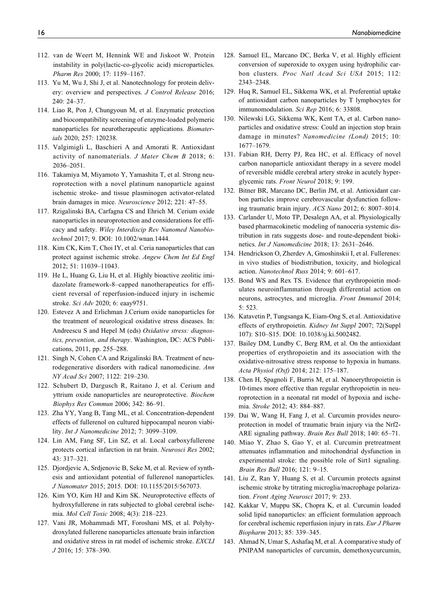- 112. van de Weert M, Hennink WE and Jiskoot W. Protein instability in poly(lactic-co-glycolic acid) microparticles. Pharm Res 2000; 17: 1159–1167.
- 113. Yu M, Wu J, Shi J, et al. Nanotechnology for protein delivery: overview and perspectives. J Control Release 2016; 240: 24–37.
- 114. Liao R, Pon J, Chungyoun M, et al. Enzymatic protection and biocompatibility screening of enzyme-loaded polymeric nanoparticles for neurotherapeutic applications. Biomaterials 2020; 257: 120238.
- 115. Valgimigli L, Baschieri A and Amorati R. Antioxidant activity of nanomaterials. J Mater Chem B 2018; 6: 2036–2051.
- 116. Takamiya M, Miyamoto Y, Yamashita T, et al. Strong neuroprotection with a novel platinum nanoparticle against ischemic stroke- and tissue plasminogen activator-related brain damages in mice. Neuroscience 2012; 221: 47–55.
- 117. Rzigalinski BA, Carfagna CS and Ehrich M. Cerium oxide nanoparticles in neuroprotection and considerations for efficacy and safety. Wiley Interdiscip Rev Nanomed Nanobiotechnol 2017; 9. DOI: 10.1002/wnan.1444.
- 118. Kim CK, Kim T, Choi IY, et al. Ceria nanoparticles that can protect against ischemic stroke. Angew Chem Int Ed Engl 2012; 51: 11039–11043.
- 119. He L, Huang G, Liu H, et al. Highly bioactive zeolitic imidazolate framework-8–capped nanotherapeutics for efficient reversal of reperfusion-induced injury in ischemic stroke. Sci Adv 2020; 6: eaay9751.
- 120. Estevez A and Erlichman J.Cerium oxide nanoparticles for the treatment of neurological oxidative stress diseases. In: Andreescu S and Hepel M (eds) Oxidative stress: diagnostics, prevention, and therapy. Washington, DC: ACS Publications, 2011, pp. 255–288.
- 121. Singh N, Cohen CA and Rzigalinski BA. Treatment of neurodegenerative disorders with radical nanomedicine. Ann NY Acad Sci 2007; 1122: 219–230.
- 122. Schubert D, Dargusch R, Raitano J, et al. Cerium and yttrium oxide nanoparticles are neuroprotective. Biochem Biophys Res Commun 2006; 342: 86–91.
- 123. Zha YY, Yang B, Tang ML, et al. Concentration-dependent effects of fullerenol on cultured hippocampal neuron viability. Int J Nanomedicine 2012; 7: 3099–3109.
- 124. Lin AM, Fang SF, Lin SZ, et al. Local carboxyfullerene protects cortical infarction in rat brain. Neurosci Res 2002; 43: 317–321.
- 125. Djordjevic A, Srdjenovic B, Seke M, et al. Review of synthesis and antioxidant potential of fullerenol nanoparticles. J Nanomater 2015; 2015. DOI: 10.1155/2015/567073.
- 126. Kim YO, Kim HJ and Kim SK. Neuroprotective effects of hydroxyfullerene in rats subjected to global cerebral ischemia. Mol Cell Toxic 2008; 4(3): 218–223.
- 127. Vani JR, Mohammadi MT, Foroshani MS, et al. Polyhydroxylated fullerene nanoparticles attenuate brain infarction and oxidative stress in rat model of ischemic stroke. EXCLI J 2016; 15: 378–390.
- 128. Samuel EL, Marcano DC, Berka V, et al. Highly efficient conversion of superoxide to oxygen using hydrophilic carbon clusters. Proc Natl Acad Sci USA 2015; 112: 2343–2348.
- 129. Huq R, Samuel EL, Sikkema WK, et al. Preferential uptake of antioxidant carbon nanoparticles by T lymphocytes for immunomodulation. Sci Rep 2016; 6: 33808.
- 130. Nilewski LG, Sikkema WK, Kent TA, et al. Carbon nanoparticles and oxidative stress: Could an injection stop brain damage in minutes? Nanomedicine (Lond) 2015; 10: 1677–1679.
- 131. Fabian RH, Derry PJ, Rea HC, et al. Efficacy of novel carbon nanoparticle antioxidant therapy in a severe model of reversible middle cerebral artery stroke in acutely hyperglycemic rats. Front Neurol 2018; 9: 199.
- 132. Bitner BR, Marcano DC, Berlin JM, et al. Antioxidant carbon particles improve cerebrovascular dysfunction following traumatic brain injury. ACS Nano 2012; 6: 8007–8014.
- 133. Carlander U, Moto TP, Desalegn AA, et al. Physiologically based pharmacokinetic modeling of nanoceria systemic distribution in rats suggests dose- and route-dependent biokinetics. Int J Nanomedicine 2018; 13: 2631–2646.
- 134. Hendrickson O, Zherdev A, Gmoshinskii I, et al. Fullerenes: in vivo studies of biodistribution, toxicity, and biological action. Nanotechnol Russ 2014; 9: 601–617.
- 135. Bond WS and Rex TS. Evidence that erythropoietin modulates neuroinflammation through differential action on neurons, astrocytes, and microglia. Front Immunol 2014; 5: 523.
- 136. Katavetin P, Tungsanga K, Eiam-Ong S, et al. Antioxidative effects of erythropoietin. Kidney Int Suppl 2007; 72(Suppl 107): S10–S15. DOI: 10.1038/sj.ki.5002482.
- 137. Bailey DM, Lundby C, Berg RM, et al. On the antioxidant properties of erythropoietin and its association with the oxidative-nitrosative stress response to hypoxia in humans. Acta Physiol (Oxf) 2014; 212: 175–187.
- 138. Chen H, Spagnoli F, Burris M, et al. Nanoerythropoietin is 10-times more effective than regular erythropoietin in neuroprotection in a neonatal rat model of hypoxia and ischemia. Stroke 2012; 43: 884–887.
- 139. Dai W, Wang H, Fang J, et al. Curcumin provides neuroprotection in model of traumatic brain injury via the Nrf2- ARE signaling pathway. Brain Res Bull 2018; 140: 65–71.
- 140. Miao Y, Zhao S, Gao Y, et al. Curcumin pretreatment attenuates inflammation and mitochondrial dysfunction in experimental stroke: the possible role of Sirt1 signaling. Brain Res Bull 2016; 121: 9–15.
- 141. Liu Z, Ran Y, Huang S, et al. Curcumin protects against ischemic stroke by titrating microglia/macrophage polarization. Front Aging Neurosci 2017; 9: 233.
- 142. Kakkar V, Muppu SK, Chopra K, et al. Curcumin loaded solid lipid nanoparticles: an efficient formulation approach for cerebral ischemic reperfusion injury in rats. Eur J Pharm Biopharm 2013; 85: 339–345.
- 143. Ahmad N, Umar S, Ashafaq M, et al. A comparative study of PNIPAM nanoparticles of curcumin, demethoxycurcumin,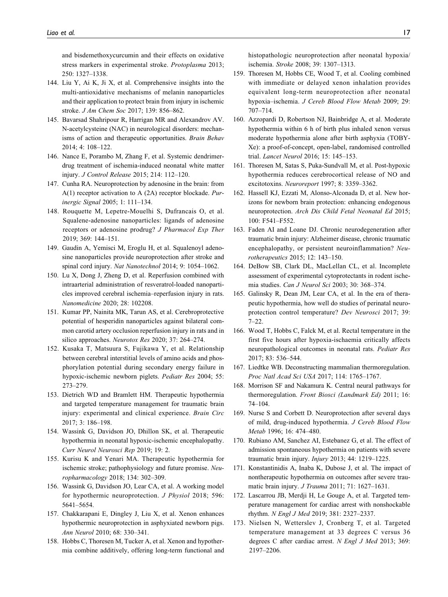and bisdemethoxycurcumin and their effects on oxidative stress markers in experimental stroke. Protoplasma 2013; 250: 1327–1338.

- 144. Liu Y, Ai K, Ji X, et al. Comprehensive insights into the multi-antioxidative mechanisms of melanin nanoparticles and their application to protect brain from injury in ischemic stroke. J Am Chem Soc 2017; 139: 856–862.
- 145. Bavarsad Shahripour R, Harrigan MR and Alexandrov AV. N-acetylcysteine (NAC) in neurological disorders: mechanisms of action and therapeutic opportunities. Brain Behav 2014; 4: 108–122.
- 146. Nance E, Porambo M, Zhang F, et al. Systemic dendrimerdrug treatment of ischemia-induced neonatal white matter injury. J Control Release 2015; 214: 112–120.
- 147. Cunha RA. Neuroprotection by adenosine in the brain: from A(1) receptor activation to A (2A) receptor blockade. Purinergic Signal 2005; 1: 111–134.
- 148. Rouquette M, Lepetre-Mouelhi S, Dufrancais O, et al. Squalene-adenosine nanoparticles: ligands of adenosine receptors or adenosine prodrug? J Pharmacol Exp Ther 2019; 369: 144–151.
- 149. Gaudin A, Yemisci M, Eroglu H, et al. Squalenoyl adenosine nanoparticles provide neuroprotection after stroke and spinal cord injury. Nat Nanotechnol 2014; 9: 1054-1062.
- 150. Lu X, Dong J, Zheng D, et al. Reperfusion combined with intraarterial administration of resveratrol-loaded nanoparticles improved cerebral ischemia–reperfusion injury in rats. Nanomedicine 2020; 28: 102208.
- 151. Kumar PP, Nainita MK, Tarun AS, et al. Cerebroprotective potential of hesperidin nanoparticles against bilateral common carotid artery occlusion reperfusion injury in rats and in silico approaches. Neurotox Res 2020; 37: 264–274.
- 152. Kusaka T, Matsuura S, Fujikawa Y, et al. Relationship between cerebral interstitial levels of amino acids and phosphorylation potential during secondary energy failure in hypoxic-ischemic newborn piglets. Pediatr Res 2004; 55: 273–279.
- 153. Dietrich WD and Bramlett HM. Therapeutic hypothermia and targeted temperature management for traumatic brain injury: experimental and clinical experience. Brain Circ 2017; 3: 186–198.
- 154. Wassink G, Davidson JO, Dhillon SK, et al. Therapeutic hypothermia in neonatal hypoxic-ischemic encephalopathy. Curr Neurol Neurosci Rep 2019; 19: 2.
- 155. Kurisu K and Yenari MA. Therapeutic hypothermia for ischemic stroke; pathophysiology and future promise. Neuropharmacology 2018; 134: 302–309.
- 156. Wassink G, Davidson JO, Lear CA, et al. A working model for hypothermic neuroprotection. J Physiol 2018; 596: 5641–5654.
- 157. Chakkarapani E, Dingley J, Liu X, et al. Xenon enhances hypothermic neuroprotection in asphyxiated newborn pigs. Ann Neurol 2010; 68: 330–341.
- 158. Hobbs C, Thoresen M, Tucker A, et al. Xenon and hypothermia combine additively, offering long-term functional and

histopathologic neuroprotection after neonatal hypoxia/ ischemia. Stroke 2008; 39: 1307–1313.

- 159. Thoresen M, Hobbs CE, Wood T, et al. Cooling combined with immediate or delayed xenon inhalation provides equivalent long-term neuroprotection after neonatal hypoxia–ischemia. J Cereb Blood Flow Metab 2009; 29: 707–714.
- 160. Azzopardi D, Robertson NJ, Bainbridge A, et al. Moderate hypothermia within 6 h of birth plus inhaled xenon versus moderate hypothermia alone after birth asphyxia (TOBY-Xe): a proof-of-concept, open-label, randomised controlled trial. Lancet Neurol 2016; 15: 145–153.
- 161. Thoresen M, Satas S, Puka-Sundvall M, et al. Post-hypoxic hypothermia reduces cerebrocortical release of NO and excitotoxins. Neuroreport 1997; 8: 3359–3362.
- 162. Hassell KJ, Ezzati M, Alonso-Alconada D, et al. New horizons for newborn brain protection: enhancing endogenous neuroprotection. Arch Dis Child Fetal Neonatal Ed 2015; 100: F541–F552.
- 163. Faden AI and Loane DJ. Chronic neurodegeneration after traumatic brain injury: Alzheimer disease, chronic traumatic encephalopathy, or persistent neuroinflammation? Neurotherapeutics 2015; 12: 143–150.
- 164. DeBow SB, Clark DL, MacLellan CL, et al. Incomplete assessment of experimental cytoprotectants in rodent ischemia studies. Can J Neurol Sci 2003; 30: 368–374.
- 165. Galinsky R, Dean JM, Lear CA, et al. In the era of therapeutic hypothermia, how well do studies of perinatal neuroprotection control temperature? Dev Neurosci 2017; 39: 7–22.
- 166. Wood T, Hobbs C, Falck M, et al. Rectal temperature in the first five hours after hypoxia-ischaemia critically affects neuropathological outcomes in neonatal rats. Pediatr Res 2017; 83: 536–544.
- 167. Liedtke WB. Deconstructing mammalian thermoregulation. Proc Natl Acad Sci USA 2017; 114: 1765–1767.
- 168. Morrison SF and Nakamura K. Central neural pathways for thermoregulation. Front Biosci (Landmark Ed) 2011; 16: 74–104.
- 169. Nurse S and Corbett D. Neuroprotection after several days of mild, drug-induced hypothermia. J Cereb Blood Flow Metab 1996; 16: 474–480.
- 170. Rubiano AM, Sanchez AI, Estebanez G, et al. The effect of admission spontaneous hypothermia on patients with severe traumatic brain injury. Injury 2013; 44: 1219–1225.
- 171. Konstantinidis A, Inaba K, Dubose J, et al. The impact of nontherapeutic hypothermia on outcomes after severe traumatic brain injury. J Trauma 2011; 71: 1627–1631.
- 172. Lascarrou JB, Merdji H, Le Gouge A, et al. Targeted temperature management for cardiac arrest with nonshockable rhythm. N Engl J Med 2019; 381: 2327–2337.
- 173. Nielsen N, Wetterslev J, Cronberg T, et al. Targeted temperature management at 33 degrees C versus 36 degrees C after cardiac arrest. N Engl J Med 2013; 369: 2197–2206.